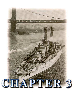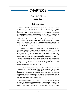# **CHAPTER 3 =**

# **Post Civil War to** World War I

## **Introduction**

At the end of the Civil War, counterintelligence fell by the wayside as the Federal Government focused on the reconstruction of the South. The only practitioners of the discipline were the private detective agencies which, before the American entry into World War I, did a booming business from an increase in demand for strikebreakers and labor spies. By 1917 there were nearly three hundred detective agencies across the country investigating labor activity.

The Pinkerton Detective Agency's unsavory history in industrial labor quarrels led Congress in 1893 to proscribe the hiring of private detectives by any Federal agency. In World War I, however, the demand for professional operatives was so great and the private detective companies so available that Military Intelligence deliberately violated the law.

For many years, after it was organized in July 1865, the Secret Service was the only detective force in the Federal Government, other than a Division of Special Agents of the Office of the Secretary of the Treasury, the investigations of which were concerned primarily with customs matters. When the short-lived Spanish-American War came along, it was the Secret Service and not the newly established War Department's Military Intelligence (MI) or Navy's Office of Naval Intelligence (ONI) which received money from Congress for increased counterintelligence activities. The Service investigated spy leads from MI, ONI, and also from the Post Office, the Justice Department and from U.S. Senators. They also conducted an operation to break up a spy system operated by the Spanish Government in Canada.

Until 1908, when the practice was prohibited by law, Secret Service agents were engaged in special investigations for other departments. They were not permitted to resume this practice until World War I, when the President was authorized to direct the use of the Service wherever necessary. Agents then conducted investigations for alleged pro-German sympathizers and spies in 1918-19 and suspected infractions by firms and individuals of laws, regulations, and orders governing exports during the war.

The Mexican revolution and counterrevolutions of 1914 posed exceptional problems for American counterintelligence. The buying and transporting of weapons from the border states into Mexico, Mexican intelligence operating in the states, and German schemes to use Mexico against the United States during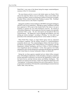World War I, were some of the threats facing the meager counterintelligence resources of the U.S. Government

The most famous activity to occur in the border region was Poncho Villa's raid on the small New Mexico town of Columbus, where several soldiers and civilians were killed. Furious over this brazen violation of American sovereignty, President Wilson ordered General John Pershing to pursue Villa. Pershing's efforts became known as the Punitive Expedition.

During this expedition, human intelligence (HUMINT) and signals intelligence (SIGINT) took on new proportions. Although an embryo intelligence staff had been organized in 1903 as part of the General Staff of the Army, it was up to Pershing to organize his own field intelligence network. He started an "Information Department" which employed a network of agents who reportedly penetrated Villa's camp. He also intercepted and deciphered Mexican communications. "By tapping the various telegraph and telephone wires and picking up wireless messages," according to Pershing, "we were able to get practically all the information passing between various leaders in Mexico."

When World War I began, no single federal agency had any substantial investigative capability, and the modern concept of a counterintelligence community did not exist. The counterintelligence efforts of the Secret Service, the Bureau of Investigation (later Federal Bureau of Investigation), and War Department's Military Intelligence and Navy's Office of Naval Intelligence were insignificant and not coordinated. In fact, these agencies were totally unprepared to deal with the disingenuous espionage and sabotage ring organized in the United States by German Ambassador Johann von Bernstorff.

During the war these agencies expanded and new federal offices emerged, many with intelligence departments. In this atmosphere, interagency competition became particularly acrimonious, first between the Department of Justice and the Secret Service, and later between Justice and Military Intelligence. This situation was noted by the Secretary of State who offered his department as the "clearinghouse" of information obtained from each of these agencies. However, an agreement concluded in 1918 shared the counterintelligence mission between Justice, State, Army and Navy.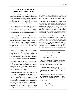## The Office Of Naval Intelligence: **A Proud Tradition Of Service**<sup>1</sup>

During the period immediately following our Civil War, the United States Navy found itself in a state of disarray and woefully incapable of protecting the nation. Along with ships and men, the ravages of conflict destroyed naval strength and readiness, leaving few seaworthy ships when peace finally arrived.

Yet fueled by the indomitable American spirit and spurred with challenge, there arose a class of naval officer who recognized the need for rebuilding a United States Navy that had come to be ignored in the postwar period by government and citizen alike.

The change that came was wholly owed to a recognition amongst the officer class that emerging technological and educational advances had to be adopted if the service was ever to fulfill its duty to the nation. It was precisely during this time and for those reasons that our nation's first organized agency devoted entirely to intelligence collection and associated activities was founded.

Years before, the U.S. Navy had come to recognize the importance of capitalizing on intelligence to counter enemy plans and movements during both the Revolutionary War and the War of 1812; however, those efforts were best characterized as disorganized and fragmented to such a degree as to be ineffectual.

On 23 March 1892, the Office of Naval Intelligence (ONI) was created with the signing of General Order 292 by William H. Hunt, Secretary of the Navy, and became the first U.S. Government agency devoted solely to the systematic collection of information regarding foreign military affairs.

Originally subordinate to the Bureau of Navigation, ONI would routinely acquire information from military attaches posted abroad or naval officers making cruises to foreign ports, where numerous collection opportunities were presented to command staff personnel. Whether it was charting foreign passages, rivers or other bodies of water, touring overseas fortifications and building yards or conducting other naval related activities as necessary, naval personnel busied themselves collecting information for ONI regarding the strengths and weaknesses of any alien power that could someday pose a threat to U.S. national security interests.<sup>2</sup>

ONI quickly gained an enviable reputation and for three decades was considered by U.S. government officials to be the most authoritative and reliable source of information regarding foreign military affairs. Even so, a great deal of information collected by this organization, especially that dealing with European shipbuilding advances and associated industrial improvements, would never be put to substantive use.

In fact, volumes of valuable data frequently lay totally wasted and squirreled away in various navy bureaus because ONI lacked the capability in its infancy to render. In-depth analysis that would have insured the material was more thoroughly understood and better used. ONI's shortcomings were recognized as especially critical when it was finally realized that the United States, with a fleet of wooden sailing ships,

#### **General Order No. 292**

Navy Department Washington, March 23, 1882

An "Office of Intelligence" is hereby established in the Bureau of Navigation for the purpose of collecting and recording such information as may be useful to the Department in time of war, as well as peace.

To facilitate this work, the Department of Library will be combined with the "Office of Intelligence" and placed under the direction of the Chief of the Bureau of Navigation.

Commanding and all other Officers are directed to avail themselves of all opportunities which may arise to collect and forward to the "Office of Intelligence" professional matters likely to serve the object in view.

William H. Hunt Secretary of the Navy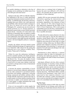was quickly shrinking to inferiority in the face of European navies producing iron hulled men-of-war with rifled guns and metal turrets.<sup>3</sup>

During its early days, ONI was officially tasked by the Department of the Navy to collect specifically categorized information deemed essential to the U.S. defense. To fulfill this duty, the Secretary of the Navy mandated that naval officers who could objectively and skillfully collect and report matters of interest to the Navy be chosen for service with ONI in Washington, D.C., posted to any one of several naval attaché positions at U.S. foreign legations, or appointed as special aides to senior military personnel posted abroad. Generally all would restrict their collection to information that was publicly available and could be acquired through overt means like open source publications, from foreign officers with whom the naval attaché or aide might associate and through contacts with knowledgeable political or industrial figures.

Initially, the military and naval attaché system formally established by passage of Congressional Law on 22 September 1888, allowed for the posting that following year of five officers to Berlin, Paris, London, Vienna and St. Petersburg.

Within five years this rudimentary intelligence network expanded modestly and attaché personnel came to be posted in Rome, Brussels, Madrid, Tokyo and Mexico City. For years, the number of naval officers assigned such duties remained limited and at a fixed level or, in some cases, attaches would only be posted to a foreign nation in times of international tension or strife.

It became the primary responsibility of naval attaches to visit naval bases, shipyards, industrial sites and any other commercial or government facilities associated with building, supporting or directing foreign commercial and military maritime efforts. Though officially instructed to perform their duty in an open manner, our former attaches sometimes found it necessary to employ covert measures and the use of "secret agents" to gather information that would be unavailable by any other means.

Even as it was successful in certain regards, the attaché system was probably no more than moderately

effective due to a continual lack of funding and because the posts were difficult to fill with line officers, who generally did not regard such duty as prestigious or career enhancing.<sup>4</sup>

Initially, ONI was more concerned with collecting information regarding the characteristics and weaponry of foreign vessels than with tactics, movements, dispositions or the intentions of those navies. However, by 1915, when it became one of nine subdivisions organized into the Office of the Chief of Naval Operations, ONI would assume responsibility given it by the Navy "General plan" to develop and gather all manner of information on the Navy's possible adversaries.

The plan allowed for certain collection to be done by covert means and by 1916 the first undercover operation, termed Branch Office, had commenced activity in New York City under the control of ONI. Staffed by naval reservists on active duty or civilian volunteers working without pay, the Branch Office garnered some impressive successes in the field of counterespionage while protecting U.S. persons and properties from subversion and sabotage in the wake of growing world conflict.

Simultaneous to these endeavors, a separate organization called the Aides for Information was developing and employing personnel who were locally assigned to the staffs of fifteen Naval District Commandants

Individuals affiliated with this effort routinely searched passengers on incoming vessels, provided security at docks, warehouses and factories, investigated subversive activity and executed other necessary duties during this extraordinary period to protect the Navy and country from possible foreign inspired subversion. With Branch Offices centrally controlled from Washington, while aides were supervised by their respective districts it was inevitable that confusion, conflict and duplication arose to such an extent that all investigative activities came to be consolidated under the District Aides.

#### **The War Years**

The preeminent concern of ONI when our nation finally declared war on Germany and its allies was the ferreting out of individuals deemed a threat to the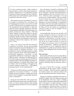U.S. Navy or national security. Often working on tips provided by a variety of government agencies or patriotic organizations or on information acquired from private citizens swept up by the furor of the time, ONI pursued and worked tirelessly against all those suspected of subversive activity.

ONI operations became quite skilled at a variety of investigative techniques like surveillance and wiretapping and at one point it was actively involved in some 15,000 subversive investigations each week. The identification and neutralization of subversive elements became especially important to ONI after being assigned responsibility for protecting those war plants executing U.S. Navy contracts. ONI field agents routinely checked those plants for physical security, indications of labor unrest that would affect production, loyalty of factory workers and managers and the identification and elimination of anyone who could pose a threat to that company's vital work for the U.S. Navy.

There is no question that ONI did materially contribute to our nation's security and war-making capacity during this trying time although there was a certain amount of attendant frustration. In its enthusiasm to seek out individuals posing a possible threat to national security, ONI could be blame for periodically engaging in "witch hunts" or using questionable methods that would later be judged an affront to justice. Intolerance for different tactics or the needs of other government agencies led ONI into repeated conflicts with Army Intelligence and the U.S. Justice Department. Eventually, Rear Admiral Leigh V. Palmer, Chief of the Bureau of Navigation was forced to comment in August 1918, "... ONI might be pursuing suspects a bit too enthusiastically."

The Director of ONI at that time was further warned, apparently in the interest of fairness, "...to permit people accused of misdeeds to explain their actions before Naval Intelligence recommended dismissal, arrest or internment."<sup>5</sup>

During the First World War, ONI assigned four times the personnel and resources to domestic security work, as it did on foreign collection, after deciding that protecting the home front was its most important mission.

Yet in all fairness, it should be recalled that ONI traditionally considered its primary responsibility to be the collection, evaluation and dissemination of foreign intelligence that was of interest to the U.S. Navy. With our nation's declaration of war and involvement in armed hostilities, ONI was quickly forced to adopt many new responsibilities, like domestic security, without the luxury of extensive planning or very much forethought. Considering the seriousness of the time and overall circumstances, it is not entirely surprising that ONI would be chastised for being a bit too over zealous as it attempted to executive its duties in what was thought to be the most effective manner.

As had traditionally been the case, the bulk of all foreign intelligence collection continued to be performed by those naval attaches posted to U.S. diplomatic establishments in foreign countries. During the war years, naval attaches were forced to rely on the use of agent networks to insure the development of necessary and ever-increasing amounts of information. Emphasis was placed on the development of covert capabilities and the establishment of a global spy network that enlisted a string of agents throughout Latin American and the Far East

#### The Lean Years

Some of these networks proved to be quite effective and lent themselves to the development of valuable information while others suffered poor organization and management, producing little other than scant or erroneous information that had disastrous effects at times.

The end of World War I brought a general demobilization and the country's desire to rapidly return to normalcy. With the Armistice signed and our country at peace, few could give reason to the need for maintaining other than a modest military.

Though not completely expendable, ONI with a war machine to support, came to be ignored in large part by the Department of the Navy which cut funding for personnel or operations and pared the organization back in all aspects to its barest minimum. Several years would elapse until 1926 when a limited effort was undertaken to establish groups of volunteer reserve intelligence officers whose goal became the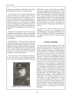gathering of information on individuals and activities that could pose a threat to U.S. naval security.

The intent was to create a cadre of personnel who could be called upon to render service in time of national emergency and by the beginning of 1927, some such groups had been created and started to operate in a manner that would be refined during the ensuing several years. Yet the mood of our nation was slow to change and it remained the strongest wish of many citizens that we continue to isolate ourselves from problems and entangling involvement with other nations.

Naturally, few could see the need to collect foreign intelligence and during these years such assignments continued to be regarded as especially undesirable by the regular Army and Navy officers given such responsibilities.

Though ONI by 1934 remained a small and neglected organization with only twenty-four officers and a clerical staff of eighteen, attitudes were slowly beginning to change in certain quarters of government where it was considered necessary to begin collecting more earnestly, information relating to the naval strength, war making capabilities and national intentions of certain foreign powers.

The chief source of this information continued to be the naval attaché system which had generally proven itself to be competent and capable in the past.



**Brigadier General Frederick Funston** 

Additionally, a certain amount of data was collected by persons assigned to intelligence staffs of each Naval District although their contribution was quite often weakened by routinely being assigned too many diverse or non-intelligence activities. When the national ambitions of the Axis Powers finally brought Europe and the Far East to war, President Roosevelt mandated in June 1939, that ONI be responsible for the investigation of sabotage, espionage and subversive activities that pose any kind of threat to the Navy.

By the fall of 1940, a selective call-up of intelligence reservists for investigative and counterintelligence duties began, and following our entry into World War II, the Navy's investigative arm was manned almost entirely by reserve officer personnel.

### **A Tardy Awakening**

For some time before the spring of 1914, events along the southern border of the United States had plainly foreshadowed an unfavorable turn in American relations with Mexico. President William H. Taft, therefore, on 21 February 1913, directed the movement of an Army division to the Galveston-Texas City area in order to be prepared to meet any eventuality. Because the War Department General Staff had already gained considerable experience from the similar but poorly planned and executed venture of some two years earlier, this troop concentration was accomplished in a comparatively smooth manner. The anticipated crisis, though, came to an unexpected head on the Gulf Coast rater than along the border, with the Mexican authorities at Tampico seizing a United States navy launch and holding its crews and passengers as prisoners. While these personnel were soon released, apologies and amends in strict compliance with the demands of the commander of the Atlantic Squadron were not forthcoming, so the entire Atlantic Fleet was moved into a position of readiness off Vera Cruz. A small naval force was also put ashore within that city to prevent the landing of an arms shipment destined for Mexican Army use. Military skirmishes promptly occurred and there was consequent loss of life on both sides.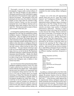Thoroughly aroused by these provocative developments, Congress jointly resolved, effective 22 April 1914, that the President was fully justified in utilizing the armed forces of the United States to support the enforcement of his demands for redress against the Mexican Government.<sup>6</sup> Due principally to prior staff planning by the Joint (Army-Navy) Board, a reinforced brigade of Army troops under the command of Brig. General Frederick Funston was then successfully transported from several different American ports to disembark without major incident at Vera Cruz on 26 April 1914. This force proceeded to remain in Mexico until November of that same year.

Even though these significant military operations were taking place far to the south, the unsatisfactory military intelligence situation in Washington showed little real improvement. Only one bright spot had appeared on the horizon, with General Wood approving an order which stated that all units operating along the Mexican border would detail carefully selected officers to act, in addition to their other duties, as intelligence officers for collecting "such information as is possible from refugees and other sources, without leaving the limits of the United States."7 The main obstacle continuing to stand in the way of any fruitful results from a program of this nature, however, was the fact that the War Department still lacked a staff agency capable of properly processing information derived therefrom. Besides, the officers involved could hardly be expected to put forth much of an effort as long as they were being called upon to perform their intelligence tasks in addition to their normal troop duties.

An event of enormous future portent from the military intelligence standpoint occurred on 18 July 1914, when Congress authorized the formation of an Aviation Section within the Army Signal Corps.<sup>8</sup> While airplanes had previously been utilized on an experimental basis for reconnaissance during maneuvers near New York City in 1912 and an aviation school was already functioning at College Park, Maryland, this legislative enactment served measurably to stimulate further air development throughout the United States Army.<sup>9</sup> It would thus not be long before the eyes of military commanders could be extended over undreamed of distances in seeking information about the enemy and terrain but this same improved capability would also generate a number of complex problems dealing with

command, communications and logistics, so as to alter completely the entire existing military intelligence system.

Congress was at this time still appropriating separate funds each year for "Army War College Expenses" and "Contingencies, Military Information Section, General Staff Corps."<sup>10</sup> With the departmental military intelligence agency forming an integral part of the War College Division of the General Staff, this outmoded fiscal arrangement naturally provoked a large number of upsetting administrative difficulties. Wanting to respect Congressional wishes in the matter but also desiring to insure that the War College officials would have full control of both funds, it was decided to alter the departmental organization by splitting the War College Division up into a "Military Information Section" and an "Army War College Section." From this, it might be reasonable to assume that all the work performed by the Division, except that which was connected with operating the War College itself, would now bear directly upon military information activities. Such was not the case, however, because the so-called Military Information Section of the War College Division in May 1915 actually consisted of ten different standing committees, designated as follows:

> Military Preparation and Policy War Plans Organization, Equipment and Training Regular Troops Militia Militia Education Military Information and Monographs History Library and Map Room Legislation<sup>11</sup>

According to a statement made by the Chief of the War College Division when this two-section was first adopted, the primary function of the new Military Information Section would be "to do current General Staff work."<sup>12</sup> It thus becomes readily apparent that the departmental military intelligence agency had finally reached the end of its disastrous journey down the road toward total extinction. The remnants of the original agency were now effectively buried within the Military Information and Monographs Committee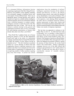of a misnamed Military Information Section comprising a regular part of the War College Division. Moreover, the members of this standing committee were principally engaged in handling current staff action papers of many different kinds. There was no appropriate agency in being therefore, that could be counted on to supervise a suitable military intelligence collection program, process any information obtained from a collection program, or conduct counterintelligence activities to satisfy the needs of the War Department and Army at large. This was the vital element so plainly missing in the general staff organization toward the close of 1915, even though the earth-shaking assassination at Sarajevo had already taken place more than a year before.<sup>13</sup>

When World War I suddenly broke out in Europe during the summer of 1914, the War Department found itself right in the midst of a determined campaign, launched earlier by General Wood himself, to reduce the number of Army officers serving on detached service.<sup>14</sup> This drive had been occasioned mainly by a severe shortage of officers that kept reappearing whenever important maneuvers were planned, since there was no adequate provision in the existing tables of organization to compensate for an ever-growing number of officer positions requiring duty away from troops. It carried very serious implications from the standpoint of military intelligence operations because all the military attaches and observers, as well as the officers attending foreign schools, came under this detached service classification. Even as late as February 1914, the Chief of the War College Division had forwarded to his superiors a most amazing official opinion to the effect that he considered American military attaches unnecessary in Spain, Italy, Austria and Belgium; Switzerland warranted a retired officer only; Russian remained doubtful; and the Balkan States and Turkey were merely of temporary importance.

This last item was apparently in reference to the Balkan Wars of 1912-13. An effort had been made in December 1912 to introduce a large group of American officers into the combat area, including a four-officer cavalry board headed by Brig. Gen. Edward J. McClernaud, to function as official military observers on the Balkan Allies side against the Turks. When the Bulgarian government refused to permit the presence of these observers, the cavalry board return to the United States. During a subsequent campaign, however, two of the other officers did manage to gain permission to visit "certain points of interest" in Serbia and were then able to secure a considerable amount of valuable military information.<sup>15</sup>



A Counterintelligence Officer of the American Expeditonary Force and Belgian Intelligence questions a suspected enemy agent.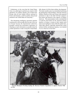Furthermore, in the event that the United States Army was called upon to perform any extensive field operations, five military attaches, four of them from Europe, plus all nine student officers stationed in France and Germany, could be quickly relieved and returned to the United States for troop duty.<sup>16</sup>

This threatening intelligence personnel situation commenced to clear up right after the start of the war in Europe because the departmental authorities promptly realized the tremendous importance of obtaining as much information as possible about the combat operations in order to keep the United States

fully abreast of all the latest military developments. The matter actually came to an immediate head during the opening days of the hostilities, when the American Military Attaches in Paris and Vienna, both requested permission to take to the field with their respective host armies and function in the capacity of military observers. This memorandum wisely concluded that it would be much better for the American military attaches in Europe to remain at their regular posts and execute intelligence tasks within the capital cities, while other officers, especially selected due to their technical ability and physical stamina, were detailed to act as observers in the field.<sup>17</sup>



General Blackjack Pershing leading the Mexican Punitive Expedition to capture Poncho Villa in 1916.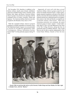By November 1914, therefore, in addition to the thirteen military attache posts already established, which now included Austria, France, Germany, Great Britain, Italy, Japan, and Russia, American military observer groups were found to be operating with the combatant forces of France, Germany, Austria and Japanese. Two American military observers were also accepted by the Rumania Army early in 1916.

With this expanded military observer program resulting in a sizeable expenditure of extremely scarce War Department funds, Congress was soon persuaded to increase by \$15,000 the appropriation under "Contingencies, Military Information Section, General Staff" for that particular purpose during FY 1916.

Apparently all went well with these several American military observer groups except the one which was initially formed in France. In that country, despite repeated complaints on the part of the officers directly concerned, the French authorities consistently refused to permit non-Allied personnel to accompany their armies in the field and thereby accomplish any worthwhile military observations. When this frustrating restriction was continued, the entire American group in France signed a "round robin" letter dated 19 July 1916 and addressed to the Chief of the War College Division, asking that they be granted the status of a Military Mission. They would then not only be able to operate independently of the United States Military Attaché in Paris but also



Poncho Villa (second from left) with two of his Generals, Toribio Ortega and Juan Medina. On Villa's right is Rodolfo Fierro, AKA the "Butcher."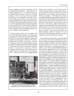acquire additional prestige for dealing with the recalcitrant French authorities.<sup>18</sup> While this move was strongly opposed by Lt. Col. Spencer Cosby, the American Military Attaché, it duly received official approval and the necessary inter-government negotiations were completed in November 1916.<sup>19</sup> No real improvement seems to have come from the change, though, because as late as 29 December 1916, the Chief of the American Military Mission in France was still complaining that the privileges being offered to his personnel by the French Army for observing under field conditions were "practically the same as those extended to small unimportant countries, such as, for example, Ecuador and Siam.<sup>20</sup>

Mexican border incidents were now again on the rise. These disturbances reached a critical peak early in March 1916, when the Mexican bandit leader Pancho Villa crossed the international boundary and launched an attack against Columbus, New Mexico, killing both US soldiers and civilians. With the revolutionary Mexican Government under Provisional President Carranza having thus proved itself incapable of protecting American lives and property along the border, it was decided to organize a Punitive Expedition under Brig. Gen. John J. Pershing, for the specific purpose of entering Mexico and capturing Villa.<sup>21</sup> This turned out to be an exceedingly difficult



The interior of an Intercept Station operated by the Signal Corps on the Mexican Border in 1918.

military task, especially in view of the fact that General Pershing's orders not only called for him to proceed against Villa and his followers but also directed him to pay scrupulous regard at all times to Mexican sovereignty.<sup>22</sup> The latter proviso became increasingly embarrassing after military contacts were developed with Mexican Federal troops following a relatively large scale skirmish with Villistas on 29 March 1916, near Guerrero, some 250 miles south of the border. From then on, clashes between the two regular forces stemmed chiefly from a growing hostile attitude taken by the Carranza government toward the continued presence of American troops in Mexican territory. The Punitive Expedition was finally withdrawn, effective 5 February 1917, with Poncho Villa still remaining at large but his military capabilities having been effectively curtailed.

As an experienced cavalry officer, General Pershing was fully aware of the direct relationship that must always exist between adequate reconnaissance and the security of a military command. He further recognized that the ultimate success or failure of his isolated expedition into Mexico would hinge largely upon an ability to secure timely and dependable information about the forces opposing him, as well as the terrain over which he would have to operate. Since he had previously held military intelligence and general staff duty assignments, he also realized the necessity for keeping the War Department properly informed on his current military situation. He thus took prompt steps to appoint as his intelligence officer Maj. (later Brig. Gen.) James A. Ryan, 13<sup>th</sup> Cavalry, an officer he considered well-qualified for directing an efficient field intelligence organization and one who was already proficient in the Spanish language.<sup>23</sup> Similarly, carefully chosen military intelligence personnel from both the War Department and the Southern Department were ordered to serve at his expedition headquarters. The net result of all this intelligence appreciation was that frequent and copious information reports were sent back to the War Department, mostly in the forms of telegrams. Although an officer of the War College Division had been detailed to read these reports, this was apparently the only positive action taken in connection with them. As a matter of fact, it remains very doubtful that the bulk of them ever found their way into the War College files.<sup>24</sup>

General Pershing was given tactical control of the First Squadron, Aviation Section, Signal Corps,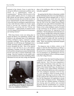stationed at San Antonio, Texas, to assist him in solving his difficult reconnaissance problems and to supplementary utilize as a means of communications.<sup>25</sup> Because of the low power of the eight available airplanes, however, in contrast to the high altitude and long distance required for flights over Mexican territory, this service did not prove to be of "material benefit" for either of these purposes.<sup>26</sup> On the other hand, his intelligence organization seems to have made full and excellent use of native agents hired to provide the command with needed information concerning both the Villistas and Carranzistas.<sup>27</sup> Approximately 20 Apache Scouts were also engaged in performing local reconnaissance and tracking missions.<sup>28</sup>

While these historic events were taking place in Europe and Mexico, the unsatisfactory situation with reference to the submerged status of the departmental military intelligence agency continued to remain essentially unchanged. On the other hand, military information was still flowing into Washington from a steadily increasing number of established collection sources throughout the field. Most of this material sooner or later did find its way to the Military Information Committee of the War College Division, but the problem of properly processing it had admittedly become more than its limited membership could manage. Since the Committee was also unable to give any due consideration to the matter of publishing military information for use by the Army at large, this important



Col. Ralph M. Van Deman became the first Chief of the War Department's Intelligence Organization when it was established in World War I.

phase of the intelligence effort was likewise being noticeably neglected.<sup>29</sup>

Recognizing that this failure to disseminate available military information to the Army was a major deficiency, the departmental officials attempted early in 1916 to take one remedial step which had some rather embarrassing repercussions. Acting upon a suggestion from the Chief of the War College Division himself, arrangements were made with the Commandant of the Command and Staff School at Fort Leavenworth, Kansas, to have certain intelligence reports, forwarded to that institution for the purpose of preparing intelligence publications for appropriate Army distribution. The first publication issued under this new system, however, brought forth a strong note of protest from the British government because the information upon which it was based had been given to the American Military Attaché in London only after securing his solemn promise to maintain an utmost secrecy in the matter. Hence, this promising experimental program was abruptly cancelled.<sup>30</sup>

The dangerous state of affairs, relative to the manner in which the War Department was failing to fulfill its military intelligence responsibilities, during this period of ever-worsening international relations, was not permitted to go unchallenged by the few experienced intelligence officers remaining assigned to the War College Division.

As a matter of fact, they kept forwarding strenuous complaints on the subject to the Chief of Staff at regular intervals. One of the most comprehensive and forceful presentations along such lines was prepared by Maj. (later Maj. Gen.) Ralph H. Van Deman of the General Staff Corps, who had been an early member of the original Military Information Division, and had later played a key role in connection with Army intelligence operations in the Far East. As a true intelligence zealot he became gravely perturbed when, following his arrival in May 1915 for duty within the War College Division, he observed how the War Department was neglecting to execute its basic military intelligence mission. During March 1916, he drew up a detailed summary of historical facts bearing upon the problem and concluded therefrom that the reestablishment of a separate Military Information Section without further delay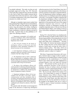was plainly indicated. This study was then not only promptly approved by Brig. Gen. H.H. Macomb, Chief of the War College Division, but also forwarded to the Chief of Staff with an added comment that he personally believed the time had now come to effect a sweeping reorganization of the entire General Staff structure on a totally new basis.<sup>31</sup>

Although no immediate improvement resulted from these particular War College Division recommendations, the Chief of Staff soon did authorize one important action, long advocated by the military intelligence officials, which was deliberately aimed at achieving a better coordination of effort for collection activities in the field. A general order was thus published, on 25 April 1916, directing as follows:

1. Department commanders will establish and maintain an intelligence office at their headquarters to operate under the personal supervision of the Department chief of staff.

2. This will also arrange for the detail of intelligence officers at such posts and field detachments of their subordinate commands as is deemed necessary by the circumstances.

3. Each Department intelligence, insofar as its intelligence duties are concerned, will be considered a branch of the War College Division.

4. The Department chief of staff is authorized direct communication in intelligence matters with the War College Division but all military information will first be brought to the attention of the Department commander before being forward thereto.

5. The duties of the intelligence officers will consist generally of collecting and preparing military information for use by the headquarters to which they are attached but, in addition, they should keep the superior headquarters properly informed.

6. Department intelligence officers will set up a complete file and index of all maps, reports, communications, and other intelligence data in accordance with subsequent instructions to be issued from the Office of the War Department Chief of Staff. Moreover, all intelligence items will be regarded as confidential until released by authority of the Chief of Staff.

This general order did initiate several progressive steps in the direction of improving intelligence

collection practices for the United States Army but it also represented a distinct compromise with reference to the key question of what direct command authority, if any, the departmental military intelligence agency should exercise over intelligence personnel operating in the field. Even though it included a statement that the department intelligence offices would function as "branches" of the War College Division, the strict application of this particular provision of the original statement remained clear, however, with the intelligence officials in Washington recalling the completely dependent status of the previous Havana and Manila Branch Offices, and wanting to form an Army-wide military intelligence system along parallel lines.

During 1915, when the Nation was simultaneously faced with the threat of further trouble in Mexico and the growing possibility of becoming directly involved in the European War, the matter of military reform again came under active consideration.<sup>32</sup> Secretary of War Lindley M. Garrison had already instructed the War College Division of the General Staff to prepare a broad study covering the entire field of America military policy. This study, which was finished in 1915, then led to a thorough airing of that politically explosive subject in Congress.<sup>33</sup>

With these Congressional discussions still in progress, Garrison chose to resign in order to register a sharp protest over President Wilson's refusal to accept his proposal for the establishment of a Federal Reserve force which could favorably supplement an enlarged Regular Army and improved National Guard.<sup>34</sup> This personal sacrifice on the part of a notably courageous Secretary of War served to dramatize the issue of military reform and helped materially to insure Congressional passage of a new and comprehensive National Defense Act in June 1916. The Act not only called for the creation of an Army of the United States to consist of a Regular Army, Volunteer Army, Officer's Reserve Corps, Enlisted Reserve Corps, National Guard while in the service of the United States, and other land forces authorized by law, but also permitted an increase in the strength of the Regular Army up to a total of 175,000 by means of annual increments extending over the next five years.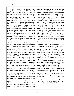Meanwhile, on 9 March 1916, Newton D. Baker was appointed the new Secretary of War. Although possessed of a strong pacifist background and, like Secretary Elihu Root, without any previous experience in military matters, Baker was destined to be regarded as one of the truly great American Secretaries of War. This seems all the more noteworthy because, during a lengthy term of office, from 9 March 1916 to 4 March 1921, his extraordinary talents were constantly taxed to the utmost by the terrific demands of World War I and its complicated aftermath. When he first assumed office, for example, he was immediately faced with the tremendous task of revitalizing a newly-created Army of the United States under legislative authority granted to him by an untried National Defense Act that had been optimistically designed to mature over a lengthy period of five years. Actually, of course, it was to be less than one year before the war clouds descended upon the country in full force.

The National Defense Act of 1916 did represent a forward advance of major proportions for providing the War Department with badly needed legislative assistance in solving some of its more important national defense problems but it also included several unfavorable stipulations which were pointedly aimed at the Army General Staff. Unfortunately, these same stipulations could only serve to handicap the proper execution of the Act itself. One of them, for example, specified that not more than half of the officers detailed to the General Staff Corps "could be at any time station or assigned to or employed upon any duty in or near the District of Columbia." Although the Act also granted an increase of 18 officers for the General Staff Corps, this expansion was scheduled to come in annual increments extending over a fiveyear period. In June 1916, therefore, the total number of General Staff Corps officers was fixed at 41 officers, with only 19 of them on duty within the Washington area. Since highly technical and difficult staff problems had already become the order of the day throughout the War Department, these personnel restrictions gravely hindered the successful conduct of any effective planning for a prewar expansion program.

The serious shortage of General Staff personnel was promptly reflected, of course, in the War College Division, which soon found itself reduced to a total complement of just nine officers. At the same time, though, the flow of information into its so-called Military Information Section kept rapidly mounting. The problem of processing this huge amount of material thus soon became so overwhelming that toward the close of 1916, Brig. Gen. Joseph E. Kuhn, the Acting Division Chief, decided to cancel the remainder of the War College course and to utilize all available personnel in making an "extensive study" of military intelligence reports from abroad, so the information compiled might be imparted to the troops." Before doing this, he had also requested authority from the Chief of Staff to reorganize his division into three new sections and to designate them respectively as the Military Information, Military Operations and Military Preparedness Sections.<sup>35</sup> While such a move would have plainly helped to restore the lost independence of the departmental military intelligence agency, no definite action could be taken along those lines until after the war actually started.

General Kuhn also took several other positive steps to remedy glaring deficiencies in the military intelligence effort. During March 1917, for instance, he opened a series of discussions with the Chief of the Militia Bureau concerning the practicability of having selected National Guard officers nominated to become intelligence officers and receive special training under War Department direction. The result was that the Chief of Staff shortly authorized the dispatch of a confidential letter addressed to the Adjutants General of all States, the Territory of Hawaii and the District of Columbia, instructing them to make such appointments. On the eve of America's entrance into World War I and prior to the start of a general mobilization, therefore, the War Department was assured of having at least the nucleus of an intelligence organization installed in most of the larger cities throughout the country. Likewise, a number of National Guard officers had already received a worthwhile amount of preliminary intelligence training, especially within the counterintelligence field.

Nevertheless, despite these few scattered signs of a tardy awakening, when the United States declared war against Germany on 6 April 1917, the period of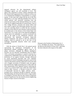imposed adversity for the departmental military intelligence agency was still essentially in force. The agency thus continued to remain s deeply submerged with the General Staff organization that it could not execute any of its fundamental intelligence responsibilities in a proper manner. At the same time, along with the rest of the War Department, it was also suffering markedly from a lack of trained general staff personnel stemming from the restrictive provisions of the National Defense Act of 1916. Under the far-sighted leadership of General Kuhn, Chief of War College Division, strenuous last minute efforts had been made to improve this distressing situation but events were now marching ahead so swiftly that the cumulative mistakes of more than ten years duration could not possibly be rectified prior to the entrance of the United States into World War I. As a result, most of the indicated intelligence reforms had to be undertaken at a greatly accelerated rate right in the midst of the widespread confusion and uncertainties that habitually accompany large-scale military expansions. The marvel is that any satisfactory progress could be achieved at all in the face of the seemingly insuperable obstacles which were actually encountered.

With the advent of World War I, the general period representing the preliminary development of the departmental military intelligence agency came to an abrupt conclusion. Although the Military Intelligence Division was not officially reestablished until 26 August 1918, to all intents and purposes it started to function on a comparatively independent basis just three weeks after the declaration of war against Germany. Strongly influenced by sound operational principles that were originally formulated by General Washington during the course of the American Revolution and then subjected to trail in the field over a lengthy succession of formative years, the agency had experienced a highly promising start in 1855 under the direct sponsorship of the Adjutant General. Following the creation of a General Staff Corps within the United States Army in 1903, however, it became a victim of a series of unfavorable decisions by higher authority which promptly led to a disastrous decade of imposed adversity. Notwithstanding, the full period did witness a large number of intelligence activities that not only remain of important historical significance but also furnish several enlightening lessons of major concern to the future.

Pursuant to the Freedom of Information Act, 5 U.S.C. §552B(4), the article: "The Underside of the Mexican Revolution: El Paso 1912", pp.83-89, has been redacted at the request of the author.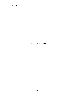*Post Civil War*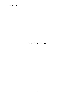*Post Civil War*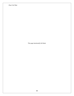*Post Civil War*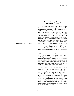This column intentionally left blank.

#### **Imperial Germany's Sabotage Operations In The U.S.**

As the industrial revolution swept across Western Europe, the nations there sought an outlet for their manufactured products in the less developed regions of the world. Great Britain grabbed the lion's share, but in the decade after 1870, the other European nations moved aggressively to obtain what was left. An imperialistic rivalry was born. France wanted to restore her national spirit after her defeat in 1870. Germany, with an astonishing industrial development and with the most powerful army in the world, demanded "a place in the sun." Russia desired an icefree port on the Pacific Ocean and Japan searched for new markets to support her overflowing population. In this scramble for markets and territories, Africa was carved up into colonies and protectorates and there was every indication that the same fate awaited Asia.

The rivalries between these European nations were a continuous menace to peace. With Europe wallowing in an orgy of militarism, imperialism, nationalism and intelligence intrigues, it was unlikely that any balance of power could be maintained. It was finally upset in the Balkans where racial hatred and nationalist strivings were complicated by the conflicting ambitions of Austria and Russia.

In was June 28, 1914 in late morning as an inconspicuous Bosnian student waited by a cobble street in Sarajevo. He observed Archduke Franz Ferdinand and his wife drive by on their way to the town hall. The student was Gavrilo Princip, a member of the Young Bosnians, a group that was organized in 1910 to protest against the annexation in 1908 of Bosnia and Herzegovina. A few minutes earlier, another member of the Young Bosnians had tossed a bomb into the Archduke's car but it was deflected by Ferdinand and exploded beneath the security vehicle following the Archduke's car.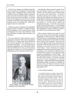After his town meeting, the Archduke ordered his driver to take him to the hospital to visit the injured security guards. Although the driver wanted to take a different road, the Archduke insisted on using the same route where the attack took place. Princip saw them returning and as the Archduke's car passed slowly by, he stepped from the crowd into the street and fired several rounds at point-blank range into the archduke and his wife, killing both. World War I began less than two months later.

Following a century-old tradition, the United States declared a policy of neutrality. President Woodrow Wilson attempted to steer a neutral position among the belligerents but several major influences within the United States eventually caused this policy to be abandoned

The least effectual of these influences was the heterogeneous character of the American population. When the war in Europe began, about one-third of the American population was foreign-born or of foreign-born parentage. It was this group that the European propagandists first focused their efforts. They had limited success but, in the last analyst, targeting this audience was of little importance in determining how the United States finally acted.



Count Johann von Bernstorff, German **Ambassador to the United States.** 

The other three influences played a greater role in President Wilson's decision to declare war on Germany. The first of these was the economic affect the war had on the United States. It caused a tremendous upswing in the economy. The war was destroying the industrial and agricultural base in Europe and the United States became the major source for all types of commodities, particularly foodstuffs and munitions. All this meant a sudden and widespread prosperity. The profits came almost entirely from the Allied Powers. As Great Britain tightened the blockade around Germany and extended the contraband list, it became difficult to export to the Central Powers (Germany and its allies).

While economic interests were tying the United States more closely to the allied nations, organized propaganda was effectively used. Both the Allied and Central Powers exerted themselves to the utmost to influence public opinion, but in this effort, the allied Powers were far more successful. The success was due to Great Britain's control of the cables and strict censorship, which allowed only the news it wanted Americans to hear from the war front to reach the United States. Honest, unbiased news largely disappeared from American papers after August 1914. According to one journalist, the British censors eliminated three-quarters of the dispatches from American correspondents in Central Europe.<sup>83</sup> The British portrayed themselves as saviors of the world from the Teutonic hordes. The French reminded Americans of their contributions to American independence. Against the skillful Allied propaganda, the blundering efforts of Germany to subsidize the American press and influence American opinion made scant progress and were eventually utterly discredited by 1915.

#### As Franz Rintelen admitted,

Everybody in Germany was raging. Large packets of newspapers had been received from America, and there was not a word of truth in the reports that were being made about the military situation. We were particularly indignant at the numerous stories of atrocities, which had found their way into the American papers. With this kind of journalism it was inevitable that not only the mass of newspaper readers, but gradually also official circles in America, would assume an anti-German attitude.<sup>84</sup>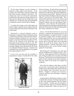The last major influence was the violations of America's neutral rights by the Germans. To the Germans, the United States remained a problem and they had to develop a strategy to deal with it. The strategy they chose was to keep the United States neutral while at the same time closing off the flow of food and war material from the United States to the Allied Powers. The first part of the strategy depended on diplomacy and the second relied on sabotage.

To conduct this strategy in the United States, the German High Command selected Johann Heinrich Count von Bernstorff, the German Ambassador to the **United States.** 

"Bernstorff, a seasoned diplomat, came to Washington as Imperial German Ambassador during a placid and superficially cordial period in German-American relations and played very well what was largely a ceremonial role before the summer of 1914. However, the outbreak of the World War, and particularly his government's decision in early 1915 to launch an unrestricted submarine campaign against merchant shipping, thrust Bernstorff into the center of a diplomatic firestorm that grew in intensity and culminated in an American declaration of war against the German Empire in 1917."85

In July 1914, nine days after the Archduke is assassinated in Sarajevo, Bernstorff left the United



**Captain Karl Boy-Ed** 

States for Germany. He believed his summons home was to consult with the German Foreign Ministry. Instead, he met with Section 3B, military intelligence, of the German General Staff. Bernstorff was told that German military intelligence had no experienced officers it can devote to the United States. They informed Bernstorff that all their best officers and espionage agents had been deployed against Germany's enemies in the war, Great Britain, France and Russia. Even if Section 3B could identify a sufficient number of trained agents and mobilize them against the United States, the odds of infiltrating them into America undetected was remote.

*Section 3-B* told Bernstorff that he was to be Germany's espionage and sabotage chief for the Western Hemisphere. To support his effort, he would be assisted by Captain Franz von Papen, currently military attaché in Mexico who was to be transferred to the United States, Captain Karl Boy-Ed, naval attaché, and Dr. Heinrich Albert, the commercial attaché who would be the finance officer for the sabotage operations. With this small group of men, Bernstorff had to carry out the German strategy against the United States.

With Bernstorff in Washington, the other three officials established their operational base in New York City. Albert opened an office at 45 Broadway and von Papen and Boy-Ed use an office in the Wall Street area. Their first task was to identify and recruit agents for their sabotage and subversion operations. The early efforts of the group were ragged and ineffectual.

One of the first enlistee in their plans was Horst von der Goltz, who devised a plan to dynamite the Welland Canal, which linked Lakes Ontario and Erie on the Canadian side of the border, just west of Buffalo. Shippers to transport raw material to American munitions and commodities companies  $used$  the Canal

Using the pretext of blasting tree stumps on a farm, a Captain Hans Tauscher, the Krupp representative in New York obtained dynamite from the Dupont Powder Company. Tauscher gave the dynamite to von der Goltz who stored it at a German safehouse operated by Martha Held. Held's row house at 123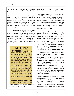West 50<sup>th</sup> Street in Manhattan was also the gathering place for German ship captains who docked in New York.

To help him in his plan, von der Goltz, using the alias Bridgeman H. Taylor, engaged the services of several men. Several days after obtaining the dynamite, the small group of saboteurs left New York for Buffalo by train. Following them was the Secret Service. After surveying the canal and seeing that it was heavily guarded, the men got cold feet and abandoned the plan.

Von Papen reported back to Berlin about the failure and von der Goltz was recalled to Germany. Instead of being reprimanded, German military intelligence ordered him to return to the United States. On his return, the ship stopped in England and von der Goltz walked in to Scotland Yard with an offer of information on German air raids on Britain. Scotland Yard arrested him and during his interrogation, he informed them that he prevented a sabotage plot

# **NOTICE!**

TRAVELLERS intending to embark on the Atlantic voyage are reminded that a state of war exists between Germany and her allies and Great Britain and her allies; that the zone of war includes the waters adjacent to the British Isles; that, in accordance with formal notice given by the Imperial German Government, vessels flying the flag of Great Britain, or of any of her allies, are liable to destruction in those waters and that travellers sailing in the war zone on ships of Great Britain or her allies do so at their own risk.

#### IMPERIAL GERMAN EMBASSY WASHINGTON, D. C., APRIL 22, 1915.

Notice in an American Newspaper advising travelers of the danger of sailing on British Ships.

against the Welland Canal. The British extradited him to the United States to stand trial

Once he was in the hands of the American authorities, von der Goltz repeated his story about the sabotage plot. He also guided Department of Justice officers to the safehouse run by Martha Held. Held was interviewed about the dynamite by the Justice officers but claimed she was asked to hold a suitcase but did not know what it contained. Although Justice was aware of this safehouse, they never investigated nor conducted surveillance against it. Horst von der Goltz was tried convicted and sent to prison in 1916.

The next operational plan conducted by von Papen and Albert was to obtain U.S. passports for use by German army reservists residing in the United States to return to Germany to fight against its enemies. After the reservists reached Germany, military intelligence took the passports and used them to send spies into Britain, France and Russia. The problem was that the Department of State had tightened the loose passport regulations by requiring more extensive proof of American citizenship and a photograph of the applicant. To circumvent the new regulations, the Germans resorted to passport fraud.

To conduct the operation, von Papen and Albert recruited a German, Hans von Wedell. Von Wedell devised a plan to have American longshoremen, sailors and street bums in the New York environs apply for American passports. Once they had the passports, von Wedell purchased the passport from them for a small amount of money, usually from ten to twenty-five dollars. It was a great scheme and worked well until some of the street-smart individuals realized what was happening and attempted to blackmail von Wedell for more money. American authorities got wind of the scam and began to investigate but Von Wedell left for Cuba before they had a chance to identify him.

Instead of curtailing their operation after von Wedell left, the Germans recruited another individual, Carl Ruroede, to take von Wedell's place. Ruroede's career as a German agent was short-lived. The Department of Justice's investigation had zeroed in on the location of the office used by the Germans. An undercover agent, Albert Adams, was sent in to make contact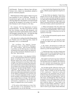with Ruroede. Posing as a Bowery bum with pro-German views, Adams was immediately enlisted to procure American passports.

With Department of State support, Adams was given four passports to give to Ruroede. Ruroede, an inexperienced agent, made the foolish mistake of showing Adams how the passports were doctored and saying that the passports were going to be used by four Germans to sail to Europe in a few days.

On 2 January 1915 the Department of Justice arrested Ruroede. The ship, Bergensfjord, carrying the four Germans using the false passports, was stopped in the harbor and boarded by Justice officials who promptly arrested the men. On board the ship was von Wedell but the officials missed him

A few days prior to sailing aboard the Bergensfjord, von Wedell wrote the following letter, dated 26 December 1914, to von Bernstorff:

"His excellency The Imperial German Ambassador, Count von Bernstorff, Washington, D.C. Your Excellency: Allow me most obediently to put before you the following facts: It seems that an attempt has been made to produce the impression upon you that I prematurely abandoned my post, in New York. That is not true.

I. My work was done. At my departure I left the service, well organized and worked out to its minutest details, in the hands of my successor, Mr. Carl Ruroede, picked out by myself, and, despite many warnings, still tarried for several days in New York in order to give him the necessary final directions and in order to hold in check the blackmailers thrown on my hands by the German officers until after the passage of my travelers through Gibraltar; in which I succeeded. Mr. Ruroede will testify to you that without my suitable preliminary labors, in which I left no conceivable means untried and in which I took not the slightest consideration of my personal weal or woe, it would be impossible for him, as well as for Mr. Von Papen, to forward officers and 'aspirants' in any number whatever to Europe. This merit I lay claim to and the occurrences of the last days have unfortunately compelled me, out of sheer selfrespect, to emphasize this to your Excellency.

II. The motives which induced me to leave New York and which, to my astonishment, were not communicated to you, are the following:

1. I knew that the State Department had, for three weeks, withheld a passport application forged by me. Why?

2. Ten days before my departure, I learnt from a telegram sent me by Mr. Von Papen, which stirred me up very much, and further through the omission of a cable, that Dr. Stark had fallen into the hands of the English. That gentleman's forged papers were liable to come back any day and could, owing chiefly to his lack of caution, easily be traced back to me.

3. Officers and aspirants of the class which I had to forward over, namely the people, saddled me with a lot of criminals and blackmailers, whose eventual revelations were liable to bring about any day the explosion of the bomb.

4. Mr. Von Papen had repeatedly urgently ordered me to hide myself.

5. Mr. Igel had told me I was taking the matter altogether too lightly and ought to-for God's sakedisappear.

6. My counsel...had advised me to hastily quit New York, inasmuch as a local detective agency was ordered to go after the passport forgeries.

7. It had become clear to me that eventual arrest might yet injure the worthy undertaking and that my disappearance would probably put a stop to all investigation in this direction.

How urgent it was for me to go away is shown by the fact that, two days after my departure, detectives, who had followed up my telephone calls, hunted up my wife's harmless and unsuspecting cousin in Brooklyn, and subjected her to an interrogatory.

Mr. Von Papen and Mr. Albert have told my wife that I forced myself forward to do this work. That is not true. When I, in Berlin, for the first time heard of this commission, I objected to going and represented to the gentleman that my entire livelihood which I had created for myself in America by six years of labor was at stake therein. I have no other means, and although Mr. Albert told my wife my practice was not worth talking about, it sufficed, nevertheless, to decently support myself and wife and to build my future on. I have finally, at the suasion of Count Wedell, undertaken it, ready to sacrifice my future and that of my wife. I have, in order to reach my goal, despite infinite difficulties,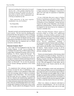destroyed everything that I built up here for myself and my wife. I have perhaps sometimes been awkward, but always full of good will, and I now travel back to Germany with the consciousness of having done my duty as well as I understood it, and of having accomplished my task.

"With expressions of the most exquisite consideration, I am, your Excellency,"

Very Respectfully,

/s/ Hans Adam von Wedell

Ruroede was tried, convicted and sentenced to three years in prison. The four reservists, pleading guilty, protested that they had agreed to return to Germany on false passports out of patriotism, were fined \$200 each. As for von Wedell, the British took him off the Bergensfjord on the high seas off the coast of England but the British ship was torpedoed and von Wedell went down with the ship.

#### **Heinrich Friedrich Albert<sup>86</sup>**

On 27 July 1915 an ad appeared in the New York Evening Telegram. It read: "Lost on Saturday. On 3:30 Harlem Elevated Train, at 50th St. Station, Brown Leather Bag, Containing Documents. Deliver to G.H. Hoffman, 5 E. 47th St., Against \$20. Reward." The ad was seeking to recover the lost briefcase of Heinrich Friedrich Albert, a German lawyer, who was serving as Commercial Attaché and financial advisor to the German Ambassador to the United States, Count Johann von Bernstorff. He was also the paymaster for the German sabotage operations in the United States.

To complement their sabotage operations, the Germans invented the idea of establishing a cover company to conduct a covert operation to induce labor unrest and encourage strikes by laborers at munitions companies in the United States. The conceived plan had three goals: the cover company was to purchase vital raw materials and manufacturing equipment and tools to keep them from reaching legitimate companies; to obtain armaments and powder contracts but not honor them; and to pay astonishing high salaries to its workers, causing other companies to do the same or face worker troubles. The plot called for the Bridgeport Projectile Company, the name selected for the cover company, to begin construction in Bridgeport, Connecticut in April 1915 and ready for operations in September that same year.

It was a bold plan that never came to fruition because of carelessness on the part of Albert. Albert was at the offices of the Hamburg-Amerika Line, at 45 Broadway in lower Manhattan. George Sylvester Viereck, the editor of the Fatherland, a pro-German publication, joined him there. Viereck was also under investigation by the Secret Service for violations of America's neutrality laws.

Before President Woodrow Wilson signed an Executive Order on 14 May 1915, authorizing surveillance of German Embassy personnel in the United States, the Secret Service was limited to watching clerks, technicians and errand boys for the Germans. After Wilson's order, William J. Flynn, chief of the Secret Service, immediately assigned a ten-man squad to keep the Germans under surveillance. Frank Burke, a young agent, was named head of this unit, located on the top floor of the Customs House at the Battery. Burke initiated coverage on all the significant people he knew involved in German activities, including Viereck.

Viereck, not a trained operative of the Germans, failed to notice that he was under surveillance. Secret Service agent, William H. Houghton, had followed him to the Hamburg-Amerika Line offices. After Viereck entered the building, Houghton telephoned the Custom House in New York and suggested to Frank Burke, that he should join him in case Viereck exited the site with another individual.

Burke and Houghton waited until mid-afternoon before Viereck and Albert came out of the building and proceeded to the uptown-elevated train station at Rector Street. The Germans sat in the middle of the car while Houghton sat opposite them and Burke sat behind them. The Secret Service agents did not know the identity of Viereck's companion at the time but suspected it might be Albert, a man they heard of but never saw before.

Albert was, indeed, an unknown individual to American counterintelligence. He was six-feet tall, heavy-set, and had crosscut saber scars on his right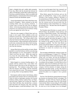cheek, a dimpled chin and a stubby dark moustache. Every day, Albert rode the elevated train between his office at 45 Broadway and his Ritz-Carlton hotel room. He always carried his briefcase, which was stuffed with Berlin telegrams, communications from German agents, financial records and subordinate reports.

Viereck disembarked at the Thirty-third Street stop, trailed by Houghton. Burke remained on the train watching Albert, who was carrying a briefcase. A woman came on board the train and sat opposite Albert. As the train proceeded to the next stop, Albert closed his eyes and dozed off, his briefcase resting on the seat against the wall of the car.

When the train stopped at Fiftieth Street and was ready to move again, Albert suddenly awoke and realized it was his stop. He sprang from his seat and raced out the back door. The woman called to him about his briefcase but Burke picked it up and rushed out the front door. Albert realizing he left his briefcase on the train, reentered the train only to find it missing. He again ran out of the train looking for the person who took the briefcase.

Seeing Albert between him and the exit stairs, Burke partially covered the briefcase with his coat and using other passengers as cover, stood against a wall until Albert went down the stairs. Burke also made his way down the stairs behind Albert. When Burke reached the street, Albert spotted him and began to give chase.

Burke hopped on a streetcar heading uptown. He quickly told the conductor that a crazy fellow who had just caused a big scene on the elevated train was pursuing him. The conductor seeing Albert racing after the streetcar, arms flailing, told the motorman not to stop at the next corner. The streetcar continued on, leaving Albert waving helplessly behind.

Knowing he could not retrieve his briefcase, Albert proceeded to the German Club on Central Park West, where he held an impromptu meeting with German Embassy military attaché, Captain Franz von Papen, and naval aide, Captain Carl von Boy-Ed. Based on what Albert told them, they decided that a common thief had taken the briefcase and, after searching through the papers, would find nothing of value. The best way to get the papers back, they reasoned, was to place an ad in the newspapers offering a reward.

When Burke opened the briefcase and saw the papers, he notified Flynn. Flynn, in turn, contacted Secretary of the Treasury, William G. McAdoo, at his summerhouse in North Haven, Maine. Flynn took the briefcase to McAdoo, who with his aids decided that the contents proved beyond doubt that the German Embassy in the United States was violating the neutrality laws. McAdoo then took the papers to President Wilson

The President asked McAdoo to consult with Col. Edward House, the president's closest advisor, and Secretary of State Robert Lansing. The United States government was in a bind because any use of the papers by the government would show that a government agency had stolen the papers of a fully accredited diplomat. Colonel House suggested that the contents of the papers be given to one of the newspapers to publish. The New York World was chosen and selected papers were given to the editor, Frank I. Cobb, who agreed to publish them without attribution in return for exclusive use of the documents.

The newspaper published the contents on page one and two succeeding pages 15 August 1915. The paper reported that Albert was the master German spy, who, along with van Papen, devised the Bridgeport Projectile Company operation and obtained approval for it from the German military general staff. According to the newspaper, it was their idea to divert legitimate orders from the British and French away from honest American munitions firms to their cover company with the intention of simply storing the gunpowder and shell casings. In fact, they hired an American industrialist, George Hoardley, to build and operate the plant so as to appear it was a genuine business.

The New York World also reported that the German government was financing Viereck's newspaper, The Fatherland. In letters between Viereck and Albert, published on the front page of the New York World, it showed that Albert was providing \$1,500 monthly to Viereck. It further revealed that Albert was pushing for more say in how the paper was to be managed.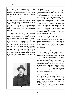He told Viereck that future payments were being held in abeyance until there was an understanding between them about the future direction of the paper's policy and that he, Albert, had a voice in its financial management.

Other newspapers picked up the story and were constantly hounding Albert for information. Albert, to try to calm the waters, gave the New York World a 2,500-word statement to print in its entirety. In his statement, he claimed that the press misinterpreted his papers. No one believed him and he was often mocked by being referred to as "the minister without portfolio."

Although Secretary of the Treasury, McAdoo wanted Albert recalled by the German government, no official U.S. action was taken against him. When the war began, Albert returned home to Germany where he was given responsibility for foreign assets in the country. When the war ended, he took charge of army surplus sales. In 1923, Chancellor Stresmann asked him to form a government in the Weimar Republic but he was unsuccessful in getting the agreement of the various parties. Instead, he left government to become a rich lawyer and advisor to foreign corporations in Berlin. During Hitler's Third Reich, Albert was on the sidelines, having no official role. After World War II be resumed his career in international business.



**Paul Koenig** 

#### **Paul Koenig**

On 22 August 1914, von Papen designates Paul Koenig to recruit and supervise a gang of saboteurs. Koenig owned a small detective company, the Bureau of Investigation that handled requests from the Atlas Line, a subsidiary of the German shipping company, the Hamburg-Amerika Line. To accomplish this new assignment, he established a Secret Service Division within his company and instituted strict operational security methods. He prohibited his agents from meeting with him at his office. Instead, he used various locations, the identities of which were coded using a "safety block system." For example, a street indicated during a telephone conversation meant that the actual meeting would occur five blocks further uptown from the street mentioned.

Over the next year he began to put together his sabotage rings. Koenig selects the dock area as the logical place to recruit his members. However, his activities come to the attention of the New York City Bomb Squad. The Bomb Squad was initially organized to investigate crimes of violence but as time goes by, the Squad's attention increasingly focused on the Germans.

One day, members of the Bomb Squad noticed a man apparently working the docks. Inquiries determined that this individual is Koenig, who is employed by the German steamship line. What struck the Bomb Squad as unusual about Koenig's activities, was that they did not appear to be legitimate. The German steamship lines had attempted to send ships to sea under false cargo manifests in order to supply German naval raiders. Because of this violation of American neutrality, the entire steamship line was tied up in Hoboken for the duration of the war. With absolutely nothing to do, the Bomb Squad felt it odd for Koenig to be so busy. They launched an investigation into his activities.

During contact with the Department of Justice, the Bomb Squad was informed that Koenig had previously come to their attention but they eventually dropped their surveillance when they came to the conclusion that he was not worth the effort. The Bomb Squad felt otherwise. They surveilled Koenig to several popular German hangouts in the city; one of which was the German Club in Central Park West.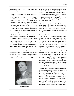This same club also frequently hosted Albert, Boy-Ed and von Papen.

The Bomb Squad also determined that Koenig conducted much of his business out of his office. Knowing that any attempt to enter the building to collect information would probably come to Koenig's attention, the Bomb Squad placed a tap on his telephone. For some time nothing happened until one day they heard a person calling Koenig several unspeakable names during their conversation. Several days later, the same person called again, which allowed the Bomb Squad to identify the telephone number from which the person placed the call. It was a public telephone at a bar.

The Bomb Squad contacted the bartender who was able to provide a description of the individual using the telephone. The bartender did not know his name but thought he lived at a nearby address. Checks in the neighborhood allowed the Bomb Squad to identify the caller as George Fuchs. Fuchs was a distant cousin of Koenig who recruited Fuchs to spy on the Welland Canal. Later, Fuchs moved to New York City where Koenig hired him to work for \$18 a week.

To make contact with Fuchs in a non-threatening way, a letter is sent to him by the Bomb Squad offering Fuchs a possible job. A meeting is later arranged and an undercover police officer, posing as the company representative, met with Fuchs. The undercover



**Franz** von Rintelen

officer was able to gain Fuch's confidence. Fuchs confided to the officer the details of the Welland Canal and how he came to New York to work for Koenig. He told the officer that Koenig fired him because of his constant feuding with one of Koenig's operatives and his drinking and disorderly habits. Fuchs was also bitter because Koenig refused to pay him for one days work, a total of \$2.57.

The Bomb Squad contacted the Bureau of Investigation and a few hours later, Koenig is arrested. A search of his house turned up his little black, loose-leaf book. In it, Koenig meticulously kept a record of all his agents and their assignments right up to the previous day.

#### **Franz von Rintelen**

On 3 April 1915, Franz von Rintelen arrived in New York City aboard the S/S Christianiafjord from Sweden. Before leaving for the United States, he attempted to secure an American passport from the American military attaché in Berlin, Major Langhorne, but was unsuccessful. Instead, he procured a Swiss passport, originally issued to Emily V. Gasche but altered the name to Emile V. Gasche.

Rintelen's mission was to prevent the shipment of munitions from the United States to the Allies. He claimed he was sent by the German Naval Ministry to replace Carl Boy-Ed, who was considered inefficient and unsatisfactory. He also claimed to have acted independently of Boy-Ed, von Papen and Ambassador Bernstorff. Instead of seeking assistance from the Hamburg-American line, which was used by Boy-Ed, von Papen and Bernstorff, he went to the German Lloyd line.

After his arrival, he probably conferred with Albert, the commercial attaché and sabotage financier, about the current situation in the large American munitions plants and to review financial information gathered by the Reichspress Bureau. He then met with von Papen to obtain the services of Walter Theodore von Scheele. Scheele was a major in the German Army and an intelligence agent. He came to the United States on an industrial espionage mission but was seconded to von Papen after the latter's arrival. Von Papen agreed to Rintelen's request and Scheele began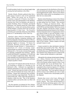to build incendiary bombs for use abroad supply ships carrying food and munitions to the Allies.

Besides Scheele, Rintelen gathered about him a select group of recruits to carry out his operational plans. Within this group was an Executive Committee composed of Scheele; Eno Bode, a German citizen and superintendent of the Hamburg-American line; Erich von Steinmetz, also known as Captain Steinberg, Stein, H. Reichart, and Harold Rasmussen, who reported entered the United States disguised as a woman and carrying disease germs; and Otto Wolpert, a German citizen who was the pier superintendent of Atlas Lines. The Executive Committee met on Saturday afternoons at the Hofbrau House at 27<sup>th</sup> and Broadway in New York City.

Rintelen's plans called for fomenting strikes, firebombing shipping, instigating embargoes and pacifist propaganda, fomenting revolution in Mexico, purchasing munitions for the German government and shipping supplies to Germany. To finance his operation, Rintelen received funds from the Reichsbank through Richard A. Timmerscheidt, a naturalized U.S. citizen of German origin. Timmerscheidt was a partner in the bank of Ladenberg Thalmann & Co. He was also a German finance agent for espionage, propaganda and commerce. Scheele testified that Rintelen's expenditures of \$10,000 and over were subject to approval by Albert. Most of the funds expended were not paid directly from Rintelen's bank account but rather was disbursed in certificates of deposit payable to bearer.

On 20 April 1915 Scheele delivered the first lot of 150 firebombs to Wolpert at a meeting at Carl Schimmel's office. Schimmel was responsible for obtaining information as to the exact sailing dates of vessels. Scheele had made the bombs in the engine room of the S/S Friederich der Grosse, NGL pier, in Hoboken. Scheele had constructed each incendiary device to look like a cigar-shaped tube. The tube was sealed at both ends. A thin copper disk separated two chambers within the tube. One of the chambers contained sulfuric acid and the other was filled with picric acid.

The first operation was planned for New Orleans. Steinberg had originally traveled there on 4 April to

make arrangements for the distribution of the tetanus, foot and mouth and meningitis germ cultures that he had smuggled into the country. However, the cultures had lost their vitality and he was attempting to revive them but was unsuccessful.

Rintelen ordered Steinberg to return to New Orleans with Bode to recruit individuals to plant the firebombs on ships sailing from New Orleans. They recruited Maurice C. Conners, an American citizen. They offered Conners \$25,000 cash for planting the bombs and \$5,000 for each ship disabled. Before any activity took place, Rintelen canceled the contract, recalled Steinberg and Bode and sent Scheele to New Orleans. Scheele contacted Conners to renegotiate the contract and offered \$5,000 in cash and \$10,000 in notes. When Conners accepted the terms, Rintelen, using the alias Hansen, confirmed the arrangements in a telegram. Rintelen sent \$5,000 to Scheele through Mechanics and Metals Bank in New York City to the Bank of New Orleans. Scheele withdrew the funds and paid Conners in cash.

Conners recruited two other individuals to help him and all three men traveled to New York. There they conferred with Steinberg, Bode and Scheele, who provided the three men with 80-90 firebombs. The three men returned to New Orleans but never carried out the plan. Conners sold the firebombs to a junk dealer.

Although the first sabotage attempt against shipping was a failure. Rintelen soon saw success. He persuaded a German-American woman he knew to write to the Russian military attaché in Paris, Count Alexis Ignatieff, who was an old friend of hers. In her letter, she informed the Count that she was acquainted with an American importer, E.V. Gibbons (in reality, Rintelen) who wanted to import some wine into the United States. The Count agreed to help and told the woman to have Gibbons use to his to make the purchase. Rintelen did so and promptly paid for the shipment.

Rintelen then wrote to the Count, offering the services of his import-export company to supply goods to Russia. The Count advised Rintelen to contact the Russian purchasing agents in New York and again lent his name to establish Rintelen's credentials.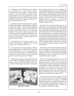The Russians awarded Rintelen's false company, E.V. Gibbons & Co. a large contract to deliver munitions and tin meat products. With the Russian contract in his pocket, Rintelen obtained a three million-dollar loan, which he deposited in a bank. Rintelen did no intent to fulfill the contract but the Russians contacted him to request a shorter delivery date and offered to pay a bonus.

Apprehensive that his intrigue might be exposed, Rintelen put together a partial shipment and had it loaded on the *Phoebus*. The Russians paid Rintelen his bonus at the docks. Unknown to them and to the guards that patrolled the decks of the ship with carbines at the ready to discourage pro-German rashness, anti-British stevedores had dropped at least six of Scheele's incendiary devices in hard-to-see crevices in the holds now piled tier upon tier with artillery shells for Russia.

Later Shipping News reported: Accidents. S.S. Phoebus from New York—caught fire at sea. Brought into port of Liverpool by *H.M.S. Ajax.* 

The Russians did not suspect anything. Rintelen again offered his services and filled two large cargo vessels with material. To cover his plans and divert any suspicion from falling on him, Rintelen hired detectives to guard the vessels. After the ships left port, they met the same fate as the Phoebus.

The Russians continued to deal with Rintelen until several barges of ammunition suddenly sank as the barges were moved from the Black Tom Island terminal to ships waiting in the harbor. The Russians



**Robert Fay's Suitcase** 

did not suspect Rintelen of any wrongdoing but demanded immediate delivery of the rest of their large order from him. Rintelen informed the Russians that he had no intention of honoring their order. Following his confrontation with the Russians, Rintelen moved quickly. He paid off his loan at the bank and liquidated his cover company. By the time the Russians obtained legal counsel, the firm of E.V. Gibbons no longer existed.

On 2 May 1915, the British freighter Kirk Oswald sailed from New York bound for Archangel, Russia but was diverted to Marseilles, France. On board the ship, French police discovered the incendiary devices and contacted the New York City Bomb Squad. The Bomb Squad began an investigation and pursued several dead end leads. They initially suspected that an individual or individuals had somehow placed the incendiary devices in the sugar bags as the bags were transported from small boats to the ships for loading. Their investigation failed to discover any saboteurs but they did find stealing of sugar by several of the barge captains.

The Bomb Squad had exhausted all their leads and their investigation was going nowhere until they received a telephone call from the French military attaché in New York. The attaché informed the Bomb Squad about a man who was believed to be involved in purchasing explosive material.

Officers from the Bomb Squad met with the man identified as Wettig. Wettig told his story and cooperated with the officers, who accompanied Wettig as he purchased the material and then delivered it to an address. A check by the officers revealed that the address was a delivery drop site. The actual destination for the package was a garage on Main Street in Weehawken, New Jersey. The officers also determined that the person to whom the package was destined was individual by the name of Fay.

The officers tried to deliver the package to Fay but he was out when the arrived. They left the package but placed surveillance on the garage. The Bomb Squad picked up Fay's trail and surveilled him and another individual along the Palisades where the two men stopped and disappeared into a wooded area. No attempt was made to follow them.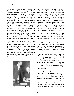Surveillance continued on Fay for several days. Because the Bomb Squad had no arrest powers in New Jersey, the Bomb Squad contacted the Weehawken police and also the Secret Service. The three agencies agreed to cooperate and conducted joint surveillance on Fay. When Fay returned to the wooded area along the Palisades, surveillance team members followed them. Fay was arrested and confessed that he was a German agent but initially did not implicate anyone else. Later, he told the authorities that he had been waiting for word from von Papen or Boy-Ed to begin his sabotage operations. He said he never planted any incendiary bombs on any ships. He was tried, convicted and sentenced to eight years in prison. After a month in jail, Fay escaped and traveled to Baltimore where he met with Koenig who provided him with funds and instructed Fay to go to San Francisco. Fay, who feared that he would be killed, disobeyed and fled to Mexico and then to Spain, where he was finally captured in 1918.

The Bomb Squad was no closer to catching the saboteurs. A decision was made to send several German-speaking officers into the bars to strike up conversations with the customers. One officer got lucky when one of patrons asked the officer if he would like to be introduced to a man who was doing some work for the Germans. The officer, who used the cover story that he was a special agent for German Ambassador von Bernstorff, was subsequently presented to Captain Charles von Kleist.



Robert Fay being fingerprinted after his arrest.

At their first meeting, von Kleist never questioned the officer's bona fides but proceeded to tell the officer about an individual named Dr. Walter T. Scheele, who was using von Kleist in his laboratory in Hoboken. According to von Kleist, Scheele claimed to be a member of the German Secret service. Although the laboratory was ostensibly fabricating agricultural chemicals, von Kleist said its genuine operation was to manufacture incendiary devices. He provided further information on the other members involved in the operation and how the devices were assembled. The reason von Kleist unburdened his soul to the officer was his anger at Scheele because he was owed \$134 in back pay and Scheele would not pay up.

The officer asked von Kleist if he would be willing to meet with a man, who was close to Wolf von Igel and in a position to get von Kleist his back pay if what he said was true. Without any hesitation, von Kleist agreed.

Several days later the Bomb Squad officer and one of his colleagues, posing as the man close to von Igel, met with von Kleist. Again von Kleist repeated his story and offered to show the two officers proof. He took them to the back yard of his house where he dug up one of the empty bomb containers.

The officers then proceeded to arrest von Kleist and took him to their headquarters. Thomas Tunney, the chief of the Bomb Squad, interviewed von Kleist, who repeated his story. After von Kleist was finished, Tunney stepped out of the room for several minutes. A workman was nearby repairing a light fixture and von Kleist, having heard the workman speak some English with a German accent, asked the workman if he would deliver notes to several people. The workman agreed.

Oblivious to the fact that he had been conned twice by two police officers pretending to be someone they were not, von Kleist readily accepted the workman as a legitimate workman. In fact, the workman was another police officer planted in the room. The police used the notes written by Von Kleist as calling cards.

Unfortunately, Scheele escaped arrest and fled to Cuba but was later arrested by the Havana police. The other members of Scheele's operation and von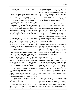Kleist were tried, convicted and sentenced to 18 months in jail.

In late April, Rintelen met David Lamar at the offices of Frederico Stallforth, a German citizen and financier, who provided funds to Poncho Villa. Lamar, a U.S. citizen, was formerly employed by J.P. Morgan & Co. but was dismissed and became a crooked stock manipulator known as the "Wolf of Wall Street." Rintelen and Lamar conceived a plan to foment strikes in munitions factories and shipping agencies. Their goal was to force an embargo on munitions by Presidential or Congressional action, hinder the manufacture and shipping of munitions by attacks on financial institutions and by litigation against pro-Ally business organizations, to create a peace sentiment in the country, and to crystallize pro-German sentiment.

Rintelen provided \$300,000 to \$400,000 to Lamar, who was considered to be the brains and the propelling force behind the conspiracy. Lamar's experience on Wall Street and his anti-trust agitation, his knowledge of conditions and individuals, his genius for manipulation and his lack of scruples, seemed an ideal fit for Rintelen's plan. However, Rintelen later realized that Lamar had swindled him.

Lamar's scam of Rintelen did not mean that the plan was not put into effect. The group hired Frank Buchanan, former President of the International Union of Structural Workers, who was serving in Congress as the representative of the Seventh District (Northern Chicago area). Buchanan was expected to introduce and lead the fight in Congress for embargo legislation. He served the cause well until he was paid; thereafter he went on a prolonged drunk and was useless.

Rintelen was now under intense investigation by American authorities. He decided to leave the United States. Having failed to procure an American passport, he used his Swiss passport in the name of Emile Gasche on which he had entered the U.S. He departed the United States on 3 August 1915 aboard the *Noordam*. When he arrived in Britain on 13 August, British port Control officers arrested him. The British interned him.

Rintelen and several others were indicted by a Federal Grand Jury in December 1915, under the Sherman Act for conspiracy to instigate strikes. However, it wasn't until April 1917 that Rintelen was extradited to the United States from Great Britain Rintelen was tried, convicted and sentenced to one year in prison. This was the first of several indictments of Rintelen. He was later indicted, tried and convicted of a conspiracy to obtain a U.S. passport by perjury, for a plot to destroy the ship S.S. Kirk Oswald, and for firebomb conspiracy.

In his jail cell in the Tombs, in New York City, Rintelen asked the Swiss Embassy to protest to the German government concerning his treatment and requested retaliation against members of the Allied Mission to Russia. The German government, through the Swiss Embassy, presented a note to the State Department regarding Rintelen. In the note, they stated that they have been unable to effect an improvement in the situation of Rintelen or his release and threaten reprisals. They proposed to exchange Rintelen for one Siegfried Paul London, who was condemned in Warsaw as a spy.

Secretary of State Robert Lansing answered the note, refusing to consider the release of Rintelen. He denied that reprisals in such a case would be legitimate and suggested that the German Government consider the large number of German subjects interned in the United States who could be made the subject of similar action.

#### **Black Tom Island**

The single, most important munitions and gunpowder assembly and shipping center in the United States to supply the Allies was located at Black Tom Island in New York harbor. Because of its importance, it became an obvious target for sabotage. For more than one year the German sabotage leaders, von Papen and Boy-Ed, focused on the facility and viewed it as a critically important target that had to be hit. Despite the recall of von Papen and Boy-Ed in 1915, the targeting of the Black Tom Island facility continued

On Sunday, 30 July 1916 New York harbor "erupted in one of the greatest military explosions prior to the holocaust of Hiroshima nearly four decades later."87 Several days after the explosion had destroyed the entire facility, federal officials and the media attributed the massive blast to carelessness not to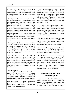sabotage. In fact, the investigation by the police departments of New York and New Jersey and by federal authorities, which lasted many years, failed to clearly determine how the tremendous blaze originated.

The Bayonne police department acquired the first lead when Anna Chapman contacted them to report her suspicions regarding a lodger at her boarding house. She told Captain John J. Rigney, chief of the police department that her lodger, Michael Kristoff, had returned to the house about 4 A.M. the morning of the explosion and proceeded to pace the floor for a long time. She further stated that she had noticed that whenever Kristoff was out-of-town there had been reported explosions or fires at those locations. She further added that one-day she observed a letter written by Kristoff to an individual, whose name was something like Graentnor, demanding large sums of money.

The Bayonne Police Department contacted the New York City Bomb Squad and the Department of Justice to brief them on Chapman's information. Surveillance of Kristoff began and for three weeks he was followed. The police eventually arrested him but no real evidence had been gathered to make the prosecution's case and he was released.

The Lehigh Valley Railroad hired the William J. Burns Detective Agency to investigate Kristoff. One of the detectives gained Kristoff's confidence by using the cover as an anarchist. Kristoff told the detective that he was responsible for the Black Tom Island blast. He also introduced the detective to David Grossman. who confirmed Kristoff's involvement in the Black Tom Island affair

#### **The Kingsland Site**

Following the success of Black Tom Island, the next target selected by the German saboteurs was the Canadian Car and Foundry Company at Kingsland. The company had been contracted by the Russians to manufacture artillery shells. The company executives decided not to take any chances with security for their plant. They constructed a six-foot fence around the plant and hired security guards to conduct 24-hour patrols around the perimeter and to screen each worked as they entered the plant.

The group of saboteurs operated under the direction of Frederick Hinsch. Hinsch recruited a German national Curt Thummel, who changed his name to Charles Thorne. Hinsch instructed Thorne to obtain employment at the Kingsland site. Thorne is hired as assistant employment manager. In this position he facilitated the hiring of several operatives sent by Hinsch to infiltrate the factory. One of the men hired is Theodore Wozniak.

Unknown to the saboteurs, a British spy informed the British Secret Service that an individual by the name of Wozniak is a German or Austrian agent. According to the British source, Wozniak has obtained employment with a company located in Kingsland. Fortunately for the saboteurs, the British ignored the information.

After the Kingsland plant is completely destroyed, police and federal investigators uncovered the source of the fire. It started at Wozniak's workbench in Building 30. Like the Black Tom Island explosion, there is no conjecture that sabotage caused the destruction.

Executives of the company launched their own investigation and it pointed to Wozniak. They engaged the services of private detectives to follow Wozniak but he slipped away from them and disappeared.

When the United States declares war on Germany, the German Ambassador von Bernstorff returned home. Three days later, on 17 February 1917, three Germans are arrested for attempting to sabotage the Black Tom Island facility, which had been rebuilt. Under a wartime situation, sabotage was no longer an option since the penalty was death to anyone caught in the act. With the ringleaders gone, the other German saboteurs fled the United States.

### **Department Of State And** Counterintelligence<sup>88</sup>

Shortly after the Office of the Chief Special Agent in Washington was created in 1916, Joseph "Bill" Nye was appointed the first chief special agent. Nye, who also held the title of special assistant to the Secretary of State, reported directly to Secretary of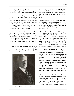State, Robert Lansing. The office worked out of two locations, Washington and New York, and operated on confidential funds from the Secretary's Office.

There was no formal reporting of the Office's activities and there was no listing of the Office in the Department's organization or telephone book. The size of the Office was never mentioned, but there were a handful of agents plus some "dollar-a-year" men who had volunteered their services-businessmen, lawyers and from other professions. They covered the entire United States in their operations, and some were sent overseas on special missions.

In 1916, as the United States entry in World War I loomed on the horizon, Secretary Lansing directed Nye to tap the telephones of the German embassy in Washington and report directly to him, daily. Who made the actual telephone tap installation was never mentioned but it was quite clear that the Office of the Chief Special Agent performed the monitoring operation.

One important result of the tap pertained to the Zimmerman Telegram. Nye was able to report in advance to the Secretary why the German ambassador was going to call on him at 4 p.m. on January



**Secretary of State, Robert Lansing** 

31, 1917. At that meeting, the ambassador advised Lansing that the German government would launch unrestricted submarine warfare in the Atlantic the next day. Nearly four weeks later, President Woodrow Wilson addressed Congress, asking for a declaration of war.

Each morning at 8 the chief special agent placed on the Secretary's desk a memorandum summarizing information developed during the proceeding 24 hours. Many projects were apparently assigned or approved directly by the Secretary and were reported back only to him.

After World War I, the scope of the Office's special activities diminished greatly. Robert C. Bannerman replaced Nye in 1920. The dollar-a-year men departed, leaving a few agents working out of the New York office, with only the chief special agent left in Washington. In 1927 the chief special agent began reporting to the assistant secretary for administration, Wilbur Carr. However, he still retained his title of special assistant to the Secretary and did report directly to him on sensitive matters.

From 1920 to 1940, jurisdiction for investigation of passport and visa frauds was unclear. Neither Justice, the FBI nor Immigration claimed absolute authority. The Office began to do passport and visa fraud investigations, working with the U.S. attorneys in various cities to obtain prosecutions. In many of these cases, the passport aspect was incidental to a much larger problem-Soviet and German espionage. The investigation of passport frauds in New York led to the discovery of a Soviet intelligence network and succeeded in exposing for the first time the existence of such Soviet operations. In addition, a ring of professional gamblers who operated on the Atlanta run of most steamship lines was broken up through prosecutions on passport frauds.

The accomplishments through the turbulent years of 1920-1940 were carried out by a minimal staff of special agents; at times no more than six. In 1936, when Robert L. Bannerman entered on duty with the Office of the Chief Special Agent in New York City, the New York office had a special agent-in-charge and four special agents. The Washington office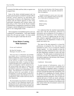consisted of his father and four clerks; no agents were assigned there.

Some of the duties included passport and visa frauds; special inquiries on behalf of consular officers abroad; various inquiries on individuals and organizations of interest to the Department of State; liaison with all Federal agencies in New York, particularly Immigration and Customs; liaison with the police in New York and the Royal Canadian Mounted Police; arranging port courtesies for visiting foreigners; and providing protective arrangements in the U.S. for visiting heads of state.

All investigations were handled in person; none was conducted by correspondence. Each agent handled about 30 to 40 cases per month. For cases outside New York, the agents would share the travel.

# **From Robert Lansing, With Enclosure**

Private and Confidential

My Dear Mr. President: Washington November 20, 1915

There has been an unfortunate and probably unavoidable lack of coordination between the different Departments of the Government charged with investigation of violations of law, growing out of the activity of agents of the belligerent Governments in this country. It seems to me that it would be advisable to have a central office to which results of investigations could be reported day by day and the proper steps taken to continue such investigations in the most efficient way. With the idea in view I submit to you a memorandum on the subject. This Department is not anxious to assume additional duties but, unavoidable, all these investigations-or at least the majority of them-have an international phase which should be not only considered but. I think, should control the action of other Departments.

The memorandum rests primarily on the idea that the Counselor for this Department should be the clearing house for the secret reports of the various Departments, and he could-if it seems advisable, and I think it does-furnish duplicates of his information day by day to the Secretary of the Treasury and the Attorney General, who are especially interested in these investigations.

I should be pleased to receive your views upon the subject, or any suggestion which you may have as to a better plan of coordination of work.

Faithfully yours,

Robert Lansing Enclosure

It is understood that the attached memorandum deals only with the preliminary collection of information and investigations for the purpose of determining the importance of the information received. As soon as it appears that any laws have been violated or apparently violated the case would be turned over to the Department of Justice in the regular and orderly way.

The intent of the plan proposed is to keep this preliminary investigation free from delays and centralized in such a way as to keep the scattered threads together. It is also intended to keep the President accurately informed from day to day and the State Department constantly in touch with what is going on. The daily reports as summarized for the Counselor for the State Department should be forwarded in duplicate to the Secretary of the Treasury and the Attorney General.

#### Confidential: Memorandum

A great amount of information, some of it important, much of it trivial and a considerable part of it, misleading or absolutely untrue, is coming to various departments of the Government regarding the activities of people throughout the United States, who are alleged to be endangering the friendly relations of this Government with other governments by undertaking unneutral enterprises, some of which are criminal and some of which are merely indiscreet. Almost all of the acts reported, if true, require careful consideration from the viewpoint of our relations with other nations before this Government's action in the matter is determined.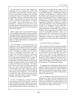The information may be divided roughly into information as to acts violating a law and for which the offenders can be prosecuted in the courts, and acts which are not technical violations of law but which are calculated to place the United States in the position of permitting violations of neutrality if they are not stopped. Under the latter may properly come certain acts of accredited representatives of foreign governments. Some of these matters can only be handled by confidential representatives to the accredited heads of the foreign governments involved that such acts are distasteful to our Government and must be discontinued.

There is another class of acts committed by citizens of the United States, either entirely on their own initiative or through influences which cannot be definitely traced and which can only be stopped by publicity, and in some cases the matters involved would be of such a delicate nature as to make it inadvisable even to call attention to them in an official way.

This information is at present coming to the Department of State, the War Department, the Navy Department, the United States Secret Service and the Department of Justice. Doubtless other Departments, such as Commerce, Post Office, and even Interior, receive or could gather information as well. It is seldom that information received is sufficiently definite even to warrant investigation and it is only by piecing together information from a number of sources that any practical lead can be obtained. At present there is no assurance that the various scattered scraps of information which when put together make a clear case will go to the same place. For instance, one item may be received by the Secret Service, the Navy may receive other information-all of which, when put side by side, makes a fairly clear case, but none of which when scattered through the different Departments seems of importance. It is evident that a single office where all this information must be instantly transmitted without red tape is absolutely necessary to an effective organization.

In view of the diplomatic questions involved it seems obvious that the receiving office should be under the Department of State. Otherwise grave errors may be made by well meaning but misdirected efforts. After this information has been received there are at present three ways in which it may be taken care of: The Department of Justice, the Secret Service and the Post Office Inspectors. The Department of Justice is charged with the gathering of evidence by which the Attorney General may proceed to prosecute for a definite crime; the Secret Service is charged with the protection of the President and the protection against counterfeiting and customs frauds; the Post Office Department is charged with watching for violations of the United States mail. None of these Departments is legally or by organization fitted to handle these matters alone and efficient cooperation without a central directing force with authority to supervise their operations and to assign them their respective work cannot be accomplished practically. There is the further objection that a case turned over by the State Department to any one of these investigating departments or bureaus is lost sight of and its daily developments are unknown for weeks and sometimes months.

To cure this situation, it is suggested:

That an Executive Order be issued placing all these matters under the authority of the Department of State, directing all Government officials and Departments to transmit immediately to the Department of State any information received along these lines and to collect at the request of that Department any information asked for. The Order should also direct that the Post Office Department, the Secret Service and the Department of Justice place their men when requested at the disposal of the Department of State for the purpose of investigating these matters.

It is suggested that the Department of State should assign the Counselor, as being able to decide the legal questions which sometimes arise, without waiting for reference, as the head of the system, acting, of course, always under the Secretary of State and, through him, under the President himself.

It is not thought that any additional force for the Department of State would be required beyond possibly a thoroughly trustworthy stenographer, and if the work is unusually heavy a filing clerk, as it will be absolutely necessary to maintain a card index and to keep each case separate and up to day.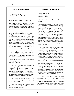# **From Robert Lansing**

Personal and Private My dear Mr. President: Washington November 29, 1915

I feel that we cannot wait much longer to act in the cases of Boy-Ed, von Papen, and von Nuber. I believe we have enough in regard to the activities of these men to warrant us to demand of the German Government the recall of the first two named and to cancel the exequatur of von Nuber, giving notice to the Austro-Hungarian Government that we have done  $\mathbf{s}$ 

The increasing public indignation in regard to these men and the general criticism of the Government for allowing them to remain are not the chief reasons for suggesting action in these cases, although I do not think that such reasons should be ignored. We have been over-patient with these people on account of the greater controversies under consideration for several months and did not wish to add to the difficulties of the situation by injecting another cause of difference. In my opinion action now cannot seriously affect the pending negotiations, and it would be well to act as expeditiously as possible.

In case you agree with me as to the action which should be taken would you favor informing Bernstorff orally that his attaches are *personae non* gratae or make a formal written statement to that effect without telling him in advance?

In the von Nuber case I would suggest that the Austrian Charge be told that we intend to cancel the exequatur of von Nuber.

As you know, I believe that we will soon have to go even higher up in removing from this country representatives of belligerents who are directing operations here. It would appear that these higher officials consider our patience to be cowardice. If this is so, the removal of subordinates would indicate our earnest purpose and would, I believe, help rather than hinder the progress of present negotiations.

I hope a decision can be reached speedily in this matter, as it should in my judgment be done, if at all, before Congress meets.

I enclose memoranda on German and Austrian officials here, among which you will find statements regarding the three mentioned.

# **From Walter Hines Page**

London, Feb. 24, 1917, 5747. My fifty-seven-forty-six, February 24, 8 a.m.

Confidential, For the President and the Secretary of State.

Balfour has handed me the text of a cipher telegram from Zimmermann, German Secretary of State for Foreign Affairs, to the German Minister to Mexico, 89 which was sent via Washington and relayed to Bernstorff on January nineteenth. You can probably obtain a copy of the text relayed by Bernstorff from the cable office in Washington. The first group is the number of the telegram, one hundred and thirty, and the second is thirteen thousand and forty-two, indicating the number of the code used. The last group but two is ninety-seven thousand five hundred and fifty-six, with Zimmerman's signature. I shall send you by mail a copy of the cipher text and of the de-code into German and meanwhile I give you the English translation as follows:

"We intend to begin on the first of February unrestricted submarine warfare. We shall endeavor in spite of this to keep the United States of America neutral. In the event of this not succeeding, we make Mexico a proposal of alliance on the following basis: make war together, make peace together, generous financial support and an understanding on our part that Mexico is to reconquer the lost territory in Texas. New Mexico, and Arizona. The settlement in detail is left to you. You will inform the President of the above most secretly as soon as the outbreak of war with the United States of America is certain and add the suggestion that he should, on his own initiative, invite Japan to immediate adherence and at the same time mediate between Japan and ourselves. Please call the President's attention to the fact that the ruthless employment of our submarines now offers the prospect of compelling England in a few months to make peace. Signed, ZIMMERMAN."

The receipt of this information has so greatly exercised the British Government that they have lost no time in communicating it to me to transmit to you, in order that our government may be able without delay to make such disposition as may be necessary in view of the threatened invasion of our territory.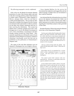#### The following paragraph is strictly confidential.

Early in the war, the British Government obtained possession of a copy of the German cipher code used in the above message and have made it their business to obtain copies of Bernstorff's cipher telegrams to Mexico, amongst others, which are sent back to London and deciphered here. This accounts for their being able to decipher this telegram from the German Government to their representative in Mexico and also for the delay from January nineteenth until now in their receiving the information. This system has hitherto been a jealously guarded secret and is only divulged now to you by the British Government in view of the extraordinary circumstances and their friendly feeling towards the United States. They earnestly request that you will keep the source of your information and the British Government's method of obtaining it profoundly secret but they put no prohibition on the publication of Zimmermann's telegram itself.

The copies of this and other telegrams were not obtained in Washington but were bought in Mexico.



Zimmerman Telegram

I have thanked Balfour for the service his Government has rendered us and suggest that a private official message of thanks from our Government to him would be beneficial.

I am informed that this information has not yet been given to the Japanese Government but I think it not unlikely that when it reaches them they may make a public statement on it in order to clear up their position regarding the United States and prove their good faith to their allies.

President Woodrow Wilson discussing his dilemma at the time of the Zimmerman Telegram:

You have got to think of the President of the United States as the chief counsellor of the Nation, elected for a little while but as a man meant constantly and every day to be the Commander-in-Chief of the Army and Navy of the United States, ready to order them to any part of the world where the threat of war is a menace to his own people.

And you cannot do that under free debate. You cannot do that under public counsel. Plans must be kept secret.

Knowledge must be accumulated by a system which we have condemned, because it is a spying system. The more polite call it a system of *intelligence.* 

You cannot watch other nations with your unassisted eye. You have to watch them with secret agencies planted everywhere.

Let me testify to this my fellow citizens, I not only did not know it until we got into this war, but did not believe it when I was told that it was true, that Germany was not the only country that maintained a secret service. Every country in Europe maintained it, because they had to be ready for Germany's spring upon them, and the only difference between the German secret service and the other secret services was that the German secret service found out more than the others did, and therefore Germany sprang upon the other nations unaware, and they were not ready for it.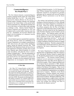# Counterintelligence: Pre-World War I

The first federal domestic counterintelligence program originated shortly before the United States entered World War I in 1917. The initial threat perceived by federal officials was the activity of German agents, including sabotage and espionage directed at the United States in the period before America entered the war. Although the neutrality laws were on the books, no federal statue made espionage or sabotage a crime. Attorney General Thomas W. Gregory proposed such legislation in 1916, but Congress took no action before American entry into the war. Nonetheless, the Executive Branch went ahead with development of a domestic security intelligence capability.

Several federal agencies expanded their operations. The Secret Service, which was established in the Treasury Department to investigate counterfeiting in 1865, had served as the main civilian intelligence agency during the Spanish American War. With \$50,000 in War Department funds, the Secret Service had organized an emergency auxiliary force to track down Spanish spies, placed hundreds of civilians under surveillance, and asked the Army to arrest a number of alleged spies.<sup>90</sup> After the assassination of President William McKinley by an anarchist in 1901, the Secret Service was authorized to protect the President. Its agents were also assigned to the Justice Department as investigators until 1908 when

### **A Navy Spy**

On 5 May 1917, George Roenitz, ex-chief clerk of the Commandant, Naval Station, Pearl Harbor, was arrested and charged with espionage. Rather than stand trial, Roenitz plead guilty to a charge of unlawful possession of documents pertaining to the Naval Station and received a one year prison sentence and a fine of \$250. Because he was discharged from the military in February 1917, Roenitz could not be courts-martial and was sentenced in civilian court. There was no information that he had passed the information on to a foregin power but he was suspected of being a German spy.

Congress forbade the practice. In 1915 Secretary of State William Jennings Bryan decided that German diplomats should be investigated for possible espionage and he requested and received President Woodrow Wilson's permission to use the Secret Service.<sup>91</sup>

The military had performed extensive security intelligence functions during the Civil War, although operations were largely delegated to commanders in the field. When the military discontinued its surveillance programs after the War of Northern Aggression, as the South refers to the Civil War, Allan Pinkerton, who had worked for the War Department under President Abraham Lincoln founded a private detective agency. The Pinkerton agency and other private detective forces served both government and private employers in later years, frequently to spy upon labor organizing activities.<sup>92</sup> In the year immediately before American entry into World War I, military intelligence lacked the resources to engage in intelligence operations. Therefore, preparation for war rested largely with the Secret Service, and it main competitor, the Justice Department's Bureau of Investigation.

The Justice Department's investigative authority stemmed from an appropriation statue first enacted in 1871, allowing the Attorney General to expend funds for "the detection and prosecution of crimes against the United States."93 The Attorney General initially employed several permanent investigators and supplemented them with either private detectives or Secret Service agents. When Congress prohibited such use of Secret Service personnel in 1908, Attorney General Charles J. Bonaparte issued an order authorizing creation of the Bureau of Investigation. There was no formal Congressional authorization for the Bureau, but once it was established, its appropriations were regularly approved by Congress. Members of the House Appropriations Committee debated with Attorney General Bonaparte over the need for safeguards against abuse by the new Bureau. Bonaparte emphasized, "The Attorney General knows or ought to know, at all times what they are doing." Some Congressmen thought more limits were needed, but nothing was done to circumscribe the Bureau's powers.<sup>94</sup>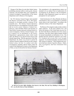Passage of the Mann Act and other federal statues prohibiting interstate traffic in stolen goods, obscene materials, and prizefight films soon expanded the criminal investigative responsibilities of the Justice Department and its Bureau of Investigation.

By 1916 Attorney General Gregory had expanded the Bureau's personnel from 100 to 300 agents, primarily to investigate possible violations of the neutrality laws. The Attorney General objected to the Secret Service's investigations of activities which did not involve actual violations of federal laws. However, when President Wilson and Secretary of State Robert Lansing expressed continued interest in such investigations, Attorney General Gregory went to Congress for an amendment to the Justice Department's appropriations statute which would allow the Bureau to do what the Secret Service had already begun doing. With the agreement of the State Department, the statute was revised to permit the Attorney General to appoint officials not only to detect federal crimes, but also "to conduct such other investigations regarding official matters under the control of the Department of Justice or the Department of State, as may be directed by the Attorney General." This amendment to the appropriations statute was intended to be an indirect form of authorization for investigations by the Bureau of the Investigation, although a State Department request was seen as a prerequisite for such inquiries.<sup>95</sup>

Under the direction of A. Bruce Bielaski, the Bureau concentrated at first on investigations of potential enemy aliens in the United States. According to the authorative history of the Justice Department:

The Bureau of Investigation made an index of aliens under suspicion. At the end of March 1917, just before the entrance of the United States into the war, the chief of the Bureau submitted a list of five classes of persons. One class, ninety-eight in number, should be arrested immediately on declaration of war. One hundred and forty should be required to give bond. Five hundred and seventy-four were strongly suspected. Five hundred and eighty-nine had not been fully cleared of suspicion. Three hundred and sixtyseven had been cleared of specific offenses. Others, after investigation, had been eliminated from the lists.<sup>96</sup>



In 1885 the Executive Office Building, then known as the State, War and Navy Building in Washington, D.C., was the first home of Army Intellegince.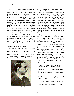Theoretically, the threat of dangerous aliens was the responsibility of the Immigration Bureau in the Labor Department. As early as 1903 Congress had enacted legislation requiring the deportation within three years of entry of persons holding anarchist beliefs or advocating "the overthrow by force or violence of the Government of the United States."97 In early 1917 the immigration laws were amended to eliminate the three year limit and require deportation of any alien "found advocating or teaching the unlawful destruction of property...or the overthrow by force or violence of the Government of the United States."<sup>98</sup> Nevertheless the Immigration Bureau lacked the men, ability, and time to conduct the kind of investigations contemplated by the statute.<sup>99</sup>

As the United States entered World War I, domestic security investigations were the province of two competing civilian agencies-the Secret Service and the Bureau of Investigation-soon to be joined by military intelligence and an extensive private intelligence network called the American Protective League.

#### The American Protective League

The American Protective League (APL) was a voluntary association of patriotic citizens acting through local branches which were established in cities and counties throughout the country to operate under the control of a National Board of Directors. The league was formally created on 22 March 1917, two weeks before the American declaration of war,



**Bruce Bielaski** 

and, on that same date, became designated as an auxiliary to the Bureau of Investigation of the Department of Justice.<sup>100</sup> The orginal idea for such an organization had been conceived by A.M. Briggs of Chicago, who then continued to function as Chairman of the National Board of Directors. The two other members of this national triumverate were Victor Elting and Charles Daniel Frey. The league itself was ultimately composed of some 250,000 male citizens, representing "every commercial, industrial, professional, social and economic level in American life."<sup>101</sup> Moreover, its members were provided with credentials in the form of a membership card and badge showing that the holder was connected with the Department of Justice.<sup>102</sup> These cards were actually issued in certain circumstances by the military intelligence division.

Although strongly supported during its entire career by Attorney General Thomas W. Gregory, the APL was never free from violent criticism. In June 1917, for example, Secretary of the Treasury William G. McAdoo, who was always on the alert to prevent any unauthorized use of the words "secret service" by an agency other than his own Secret Service of the United States, not only wrote to Gregory to register a complaint<sup>103</sup> but also to President Wilson himself in order to lodge a general protest against the whole organization. For the President, McAdoo even chose to compare the APL with the Sons of Liberty of the American Revolution "through which many injustices and abuses resulted."<sup>104</sup> This historical comparison by McAdoo is neither cogent nor valid. A more fitting description of the prejudicial side of the APL would be the New York Bar Association Report of 1919 which discussed vigilante associations in World War I:

"...These associations did much good in awakening the public to the danger of insidious propaganda but no other one cause contributed so much to the oppression of innocent men as the systematic and indiscrimate agitation against what was claimed to be an all-pervasive system of German espionage."

Defending the league, however, Gregory was able to answer McAdoo:

"...you state that your attention has been called to this association and that it seems to you it would be dangerous to have such an organization operating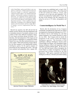in the United States, and you ask if there is any way which we could stop it...Briefly stated, the American Protective League is a patriotic organization, composed of from eighty to one hundred thousand members, with branches in almost six hundred cities and towns, was organized with my approval and encouragement, and has been tremendously helpful in the work of the Bureau of Investigation of the Department of Justice. It has no official status and claims none. Its members serve without the slightest expense to the Government, and not a single officer or member receives compensation from any source."105

Beyond any question, the APL did provide the military security officials of the War Department with a tremendous amount of invaluable assistance in the conduct of their many difficult investigative chores. It was found convenient during November 1917, therefore, after the headquarters of the league moved from Chicago to Washington, to commission Charles Daniel Frey, one of the three national directors, as an Army captain. While still remaining a league official, he was then assigned to the departmental military intelligence agency for the express purpose of processing all cases requiring APL action. This task soon assumed such proportions that a regular APL



**American Protective League Publication** 

liaison group was established and, in April 1918, made a separate subsection of MI.3. The civilian chief of this new group was Urban A. Lavery, who continued to act in that role until September 1918, when he was replaced by Captain John T. Evans. By the time of the Armistice, the APL subsection was using the services of 39 clerks, stenographers and typists.

## Counterintelligence In World War I

Shortly after the declaration of war, Congress considerably strengthened the legal basis for federal investigations by enacting the Espionage Act of 1917, the Selective Service and Training Act, and other statutes designed to use criminal sanctions to assist the war effort. But Congress did not clarify the jurisdiction of the various civilian and military intelligence agencies. The Secretary of War established a Military Intelligence Section under Colonel Ralph Van Deman, who immediately began training intelligence officers and organizing civilian volunteers to protect defense plants. By the end of 1917 the MIS had branch offices throughout the United States to conduct investigations of military personnel and civilians working for the War Department. MIS agents cooperated with British intelligence in Mexico, with their joint efforts leading



**National Directors, American Protective League** (l-r) Charles Frey, Albert Briggs, Victor Elting.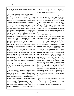to the arrest of a German espionage agent during the war $106$ 

A major expansion of federal intelligence activity took place with the formation of the American Protective League, which worked directly with the Bureau of Investigation and military intelligence. A recent FBI study recounts how the added burdens of wartime work led to the creation of the League:

To respond to the problem, Attorney General Thomas W. Gregory and then Bureau Chief A. Bruce Bielaski, conceived what they felt might suffice to answer the problem. The American Protective League (APL) composed of well-meaning private individuals, was formed as a citizen's auxiliary to "assist" the Bureau of Investigation. In addition to the authorized auxiliary, ad hoc groups too it upon themselves to "investigate" what they felt were un-American activities. Though the intentions of both groups were undoubtedly patriotic and in some instances beneficial, the overall result was the denial of constitutional safeguards and administrative confusion. To see the problem, one need only to consider the mass deprivation of rights incident to the deserter and selective service violator raids in New York and New Jersey in 1918, wherein 35 agents assisted by 2,000 APL operatives, 2,350 military personnel, and several hundred police rounded up some 50,000 men without warrants of sufficient probable cause for arrest. Of the 50,000 arrestees, approximately 1,500 were inducted into the military service and 15,000 were referred to draft boards.<sup>107</sup>

The FBI study also cites the recollection of an Agent of the Bureau of Investigation during World War I regarding the duplication of effort:

How did we function with relation to other agencies, both federal and state? In answering this query, I might say that while our relationship with the Army and Navy Departments was extremely cordial at all times, nevertheless there was at all times an enormous overlapping of investigative activities among the various agencies charged with winning the war. There were probably seven or eight such active organizations operating at full force during the war days and it was not an uncommon experience for an Agent of this Bureau to call upon an individual in the course of his investigation, to find out that six or seven other government agencies had been around to interview the party about the same matter.<sup>108</sup>

The Secret Service opposed the utilization of American Protective League volunteers and recommended, through Treasury Secretary McAdoo, establishment of a centralized body to coordinate domestic intelligence work. The Treasury Department's proposal was rejected in early 1918, because of the objections of Colonel Van Deman, Bureau Chief Bielaski, and the Attorney General's Special Assistant for war matters, John Lord O'Brien. Thereafter the role of the Secret Service in intelligence operations diminished in importance.<sup>109</sup>

During World War I the threat to the nation's security and the war effort was perceived by both government and private intelligence agencies as extending far beyond activities of enemy agents. Criticism of the war, opposition to the draft, expression of pro-German or pacifist sympathies, and militant labor organizing efforts were all considered dangerous and targeted for investigation and often prosecution under federal or state statutes. The federal Espionage Act forbade making false statements with intent to interfere with the success of military, attempting to cause insubordination, and obstructing recruitment of troops.<sup>110</sup> With little guidance from the Attorney General, the United States Attorneys across the country brought nearly 2,000 prosecutions under the Espionage Act for disloyal utterances.<sup>111</sup> Not until the last month of the war did Attorney General Gregory require federal prosecutors to obtain approval from Washington before bringing Espionage Act prosecutions. John Lord O'Brien, the Attorney General's Special Assistant, recalled "the immense pressure brought to bear throughout the war upon the Department of Justice in all parts of the country for indiscriminate prosecution demanded in behalf of a policy of wholesale repression and restraint of public opinion."<sup>112</sup>

In addition to providing information for Espionage Act prosecutions, intelligence operations laid the foundation for the arrest, of which some 2,300 were turned over to military authorities for internment and the remainder released or placed on parole.<sup>113</sup>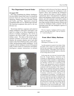# **War Department General Order**

#### **26 August 1918**

This order reestablished the Military Intelligence Division (MID). General Staff when it re-formed the General Staff into four divisions designated: Operations; Military Intelligence; Purchase, Storage and Traffic; and Plans. Appointed to head the reestablished MID was Col. Marlborough Churchill. The functional assignment then given to the new Division was:

This division shall have cognizance and control of military intelligence, both positive and negative, and shall be in charge of an officer designated as the director of military intelligence, who will be an assistant to the Chief of Staff. He is also the chief military censor. The duties of this division are to maintain estimates revised daily of the military situation, the economic situation, and of such other matters as the Chief of Staff may direct, and to collect, collate, and disseminate military intelligence. It will cooperate with the intelligence section of the general staffs of allied counties in commection with military intelligence; prepare instructions in military



Gen. Marlborough Churchill

intelligence work for the use of our forces; supervise the training of personnel for intelligence work; organize, direct, and coordinate the intelligence service; supervise the duties of military attaches; communicate direct with department intelligence officers and intelligence officers at posts, camps, and stations; and with commands in the field in matters relating to military intelligence; obtain, reproduce and issue maps; translate foreign documents; disburse and account for intelligence funds; cooperate with the censorship board and with intelligence agencies of other departments.

The term "negative" intelligence fell into gradual disgrace following World War I and was replaced by "counterintellugence."

## **From Albert Sidney Burleson**

Dear Mr. President: (Washington) November 30, 1918

I am this moment in receipt of your letter of date November 27th in which you express the opinion that the mail censorship is no longer performing a necessary function. I thoroughly concur in the view expressed and shall accept your letter as a direction to me to bring same to an end.

On the same day you wrote me I received a letter from Mr. Swagar Sherley, Chairman of the Committee on Appropriations, advising me that "it is the purpose of the Committee on Appropriations of the House of Representatives to begin hearings next Monday with the view of returning to the Treasury such appropriations and the cancellation of such authorizations, or parts thereof, granted in connection with the prosecution of the war, as no longer may be required under present conditions" and requesting me to take immediate steps to furnish him "the available information" upon which the Committee could base action looking to the accomplishment of its purpose. I will make known to the Chairman of the Committee on Appropriations the action which has been take in connection with mail censorship and also advise him that I have reduced the clerical force used in connection with the enforcement of Espionage and Trading with the Enemy Acts in so far as they relate to the Postal Establishment to the lowest possible basis. These are the only activities carrying appropriations which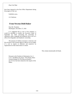#### *Post Civil War*

have been imposed on the Post Office Department during the progress of the war.

Faithfully yours,

A.S. Burleson

# **From Newton Diehl Baker**

Dear Mr. President: *Washington, December 27, 1918*

It is suggested that in view of the armistice, it would be advisable to modify the Executive Order of September 26, 1918, concerning the censorship of submarine cables, telegraph and telephone lines as far as it affects the telegraphic and telephonic censorship.

The pressure of military necessity is removed, and the activities of the German agents in Mexico are no longer of a sort to require so elaborate and expensive an organization for their observation or control.

This column intentionally left blank.

Pursuant to the Freedom of Information Act, 5 U.S.C. §552B(4), the article: "The Witzke Affair: German Intrigue On The Mexican Border", pp.114-122, has been redacted at the request of the author.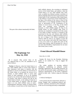This part of the column intentionally left blank.

# **The Espionage Act May 16, 1918**

*Be it enacted*, That section three of the Act...approved June 15, 1917, be...amended so as to read as follows:

*"Section 3.* Whoever, when the United States is at war, shall willfully make or convey false reports or false statements with intent to interfere with the operation or success of the military or naval forces of the Unites States, or to promote the success of its enemies, or shall willfully make or convey false reports or false statements, or say or do anything except by way of bona fide and not disloyal advice to an investor...with intent to obstruct the sale by the United States of bonds...or the making of loans by or to the United States, or whoever, when the United States is at war, shall willfully cause...or incite... insubordination, disloyalty, mutiny, or refusal of duty, in the military or naval forces of the United States, or shall willfully obstruct...the recruiting or enlistment service of the United States, and whoever, when the United States is at war, shall willfully utter, print, write, or publish any disloyal, profane, scurrilous, or abusive language about the form of government of the United States, or the Constitution of the United States, or the military or naval forces of the United States, or the flag...or the uniform of the Army or Navy of the United States, or any language intended to bring the form of government...or the Constitution...or the military or naval forces...or the flag...of the United States into contempt, scorn, contumely, or disrepute...or shall willfully display the flag of any foreign enemy, or shall willfully...urge, incite, or advocate any curtailment of production in this county of any thing or things...necessary or essential to the prosecution of the war...and whoever shall willfully advocate, teach, defend, or suggest the doing of any of the acts or things in this section enumerated and whoever shall by word or act support or favor the cause of any country with which the United States is at war or by word or act oppose the cause of the United States therein, shall be punished by a fine of not more than \$10,000 or imprisonment for not more than twenty years, or both...

# **From Edward Mandell House**

#### *Paris Nov 12, 1918*

Number 99. Secret for the President. Referring further to our number 61, I beg to suggest the following:

The whole problem of securing political intelligence, establishing an adequate counter espionage organization and providing protection for you and for the personnel, papers, and property of the American representatives at the Peace Conference should be dealt with, I believe along the following lines:

#### I. *Political Intelligence*

At the present time the United States officials in Europe charged with considering political and economic questions presented by the termination of the war are receiving practically no dependable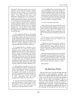information concerning political and economic conditions in the following countries: Poland, Bohemia, Ukraine, Austria, Servia (including Yugo-Slavia), Hungary, Bulgaria, Albania and Turkey. From Roumania and Greece some information is obtained but it is very incomplete. I consider it essential that we at once set up instrumentalities in these localities which will furnish us with information concerning political conditions in these countries and that this information concerning political conditions in these countries and that this information should come to us through American eyes. I do not think it will be difficult promptly to set up an organization for this purpose and I suggest that I be authorized to proceed along the following lines:

A. After conferring with Hoover and learning his plans for relief, to select men from among the United States military and naval forces now in Europe and from any other available sources, who shall be appointed for the time being agents of the Department of State. These men to constitute the basis of a "political intelligence section" of the American delegation to the Peace Conference.

B. To dispatch the men so selected as soon as practicable to do so, to points such as Warsaw, Lemberg, Posen, Prague, Bern (Moravia), Budapest (and some point in Transylvania), Kiev, Serejevo, Scutari, Constantinople, and Odessa. One agent should be sent to each place and he should take with him one code clerk with codes, one stenographer and if necessary one interpreter. A courier service also will shortly have to be established to operate between the United States and individual agents and their base from which messages could be forwarded by telegraph to Paris.

C. These agents so selected not to be in any sense accredited to the countries in which they are located. The military and naval men will of course not wear their uniforms. So far as possible the Governments in the localities to which they are sent will be requested to give them assistance in the conduct of their work. These men would work in close cooperation with any relief (arrangements?) (agencies) set up by Hoover.

D. To set up at some point in the Balkans, such as possibly Bucharest, a central office to which these agents can forward (probably for the President by courier only) their reports for transmission to the United States via Paris

E. To establish at Paris for the assistance of the American delegation at the Peace Conference a "political intelligence section" under the direction of Grew and such other persons as the State Department may send to help him to which would be forwarded all reports from these agents and from other agents of the Department of State already constituted in European countries.

#### II. Counter Espionage Organization

I have conferred with General Nolan the head of the United States Military Intelligence in Europe and I believe that this work should be handed over to him and I suggest that a civil official of the Department of State who has an appreciation of the duty of work desired done should be associated with him.

III. The protection of the President and of the American delegation at the Peace Conference and their papers and property.

I suggest that the most practical method of handling this problem is through the use of the military authorities working under the direction of General Nolan who is entirely familiar with the peculiar conditions presented by this kind of work in France.

Almost all of the personnel to do the work outlined in paragraph one can be obtained here in Europe. I should very much appreciate an expression of your views respecting this important matter. If the plan as outlined is promptly approved it can be put into operation before the Peace Conference is called.

**Edward House** 

# **The Red Scare Period**

The end of the war in 1918 did not bring about the termination of counterintelligence operations. The Bureau of Investigation shifted its attention from critics of the war to the activities of radical and anarchist groups. The new threat was dramatized vividly by a series of terrorist bombings in 1919, including one explosion on the doorstep of Attorney General A. Mitchell Palmer's residence. Congress responded with calls for action, although the applicable provisions of the Espionage Act had expired at the end of the war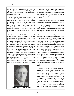and no new federal criminal statute was enacted to replace it. Instead, state statutes and the deportation provisions of the Immigration Act became the basis for the federal response.

Attorney General Palmer authorized two major revisions in Justice Department counterintelligence operations in 1919. First, he established a General Intelligence Division in the Justice Department, headed by J. Edgar Hoover, who had served during the war as head of the Department's program for compiling information on enemy aliens. At the same time, Palmer appointed William J. Flynn, former head of the Secret Service, as Director of the Bureau of Investigation.

Less than two weeks after the GID was established, Flynn ordered a major expansion of Bureau investigations "of anarchistic and similar classes, Bolshevism, and kindred agitation advocating change in sedition and revolution, bomb throwing, and similar activities." Since the only available federal law was the deportation statute, Flynn stressed that the investigations "should be particularly directed to persons not citizens of the United States." Nevertheless, he also directed Bureau agents to "make" full investigations of similar activities of citizens of the United States with a view to securing evidence which may be of use in prosecutions under the present existing state or federal laws or under legislation of that nature which may hereinafter be enacted." The instructions discussed the provisions of the recent amendments to the Immigration Act, which expanded the grounds for deportation to include membership



Attorney General A. Mitchell Palmer.

in revolutionary organizations as well as individual advocacy of violent overthrow of the government.<sup>156</sup> Director Flynn concluded by urging Bureau agents to "constantly keep in mind the necessity of preserving the cover of our confidential informants."157

The results of these investigations were reported to the Department's General Intelligence Division for analysis and evaluation. Overall direction of the work of the GID under Hoover and the Bureau under Flynn was placed in the hands of an Assistant Attorney General Francis P. Garvan, who had been a division chief in the New York district attorney's office before the war.<sup>158</sup>

Historians have documented fully the tremendous pressures placed on Attorney General Palmer, not just by his subordinates, but by public opinion, other members of President Wilson's cabinet, and the Congress to act decisively against the radical threat in 1919. For example, Secretary of State Lansing declared in a private memorandum written in July, "It is no time to temporize or compromise; no time to be timid or undecided; no time to remain passive. We are face to face with an inveterate enemy of the present social order." The Senate unanimously passed a resolution demanding that Palmer inform it whether he had yet begun legal proceedings against those who preached anarchy and sedition. According to his biographer, after passage of the Senate resolution, Palmer decided that the "very liberal" provisions of the Bill of Rights were expendable and that in a time of emergency there were "no limits" on the power of the government "other than the extent of the emergency."<sup>159</sup>

The principal result of the Justice Department's counterintelligence activities, in coordination with Immigration Bureau investigations, was the infamous "Palmer raids" on the night of January 2, 1920. Bureau of Investigation and Immigration Bureau agents in thirty-three cities rounded up some ten thousand persons believed to be members of the Communist and Communist Labor Parties, including many citizens and many individuals not members of either party. A summary of the abuses of due process of law incident to the raids includes "indiscriminate" arrests of the innocent with the guilty, unlawful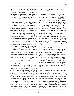seizures by federal detectives, intimidating preliminary interrogations of aliens held incommunicado, highhanded levying of excessive bail, and denial of counsel."<sup>160</sup> Apart from the unavoidable administrative confusion in such a largescale operation, these abuses have been attributed to several crucial decisions by federal officials.

The first was Director Flynn's instructions to Bureau agents that, in order to preserve "the cover of our confidential informants," they should "in no case... rely upon the testimony of such cover informants during deportation proceedings."<sup>161</sup> Consequently, Flynn's assistant Frank Burke, advised the Immigration Bureau that informants should not be called as witnesses and that immigration inspectors should "make an effort to obtain from the subject a statement as to his affiliations." The success of eliciting incriminating admission depended, in turn, upon decisions which made possible the prolonged detention and interrogation of arrested persons without access to counsel. In previous deportation proceedings, defense attorneys had urged aliens to remain silent. Therefore, it was necessary to amend the immigration regulation which allowed "attorneys" employed by the arrested persons to participate in the conduct of hearings from their very commencement."<sup>162</sup> The head of the Justice Department's General Intelligence Division, J. Edgar Hoover, reiterated this request for a modification of immigration procedures.<sup>163</sup> Three days before the raids the regulation was revised to permit hearings to begin without the presence of counsel.

Another barrier to effective interrogation was the alien's right to bail. Three weeks after the round-up, J. Edgar Hoover advised the Immigration Bureau that to allow aliens out on bail to see their lawyers "defeats" the ends of justice" and made the revision of immigration regulations "virtually of no value."<sup>164</sup> Hoover later told immigration officials that since the purpose of the raids was to suppress agitation, he could not see the sense of letting radicals spread their propaganda while out on bail.<sup>165</sup> He also urged the Immigration Bureau to hold all aliens against whom there was no proof on the chance that evidence might be uncovered at some future date "in other sections of the country."<sup>166</sup> However, despite the Justice Department's pleas, the Secretary of Labor ordered a return to previous policies after the raids, once again

allowing detained aliens access to legal counsel and admission to bail if hearings were delayed.<sup>167</sup>

An advantage of the amended Immigration Act had been that aliens could be deported simply for membership in a revolutionary group, without any evidence of their individual activity. J. Edgar Hoover urged literal application of the law to all members regardless of the individual's intent or the circumstances involved in his joining the organization.<sup>168</sup> Nevertheless, the Labor Department refused to deport automatically every Communist Party alien, instead adopting a policy of differentiating between "conscious" and "unconscious" membership, declining to deport those who membership in the Socialist Party had been transferred to the Communist Party without the member's knowledge and those whose cases were based on self-incrimination, without counsel or illegally seized membership records. Assistant Secretary of Labor Louis F. Post, who strongly opposed the Justice Department's position, also defied Congressional threats of impeachment in his vigorous defense of due process of  $law.<sup>169</sup>$ 

During the months following the "Palmer raids," a group of distinguish lawyers and law professors prepared a report denouncing the violation of law by the Justice Department. They included Dean Roscoe Pound, Felix Frankfurter, and Zechariah Chafee, Jr. of the Harvard Law School, Ernest Freund of the University of Chicago Law School, and other eminent lawyers and legal scholars. The committee found federal agents guilty of using thrid-degree tortures, making illegal searches and arrests, using agent provocateurs, and forcing aliens to incriminate themselves. Its report described federal counterintelligence operations in the following terms:

We do not question the right of the Department of Justice to use its agents in the Bureau of Investigation to ascertain when the law is being violated. But the American people have never tolerated the use of undercover provocative agents or "agents provocateurs" such as have been familiar in old Russia or Spain. Such agents have been introduced by the Department of Justice into radical movements, have reached positions of influence therein, have occupied themselves with informing upon or instigating acts which might be declared criminal, and at the express direction of Washington have brought about meetings of radicals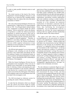in order to make possible wholesale arrests at such meetings. $170$ 

The initial reaction of the head of the Justice Department's General Intelligence Division to such criticism was to search the files, including military intelligence files, for evidence that critics had radical associations or beliefs.<sup>171</sup>

The work of the General Intelligence Division was summarized by J. Edgar Hoover in a report prepared later in 1920. Even though federal criminal statutes were "inadequate to properly handle the radical situation," Hoover stressed the "need in the absence of legislation to enable the federal government adequately to defend and protect itself and its institutions (from) not only aliens within the borders of the United States, but also American citizens who are engaged in unlawful agitations." Therefore, in addition to providing intelligence for use in the deportation of aliens, the General Intelligence Division (GID) supplied information to state authorities for the prosecution of American citizens under the broad state sedition laws.

The GID also had expanded "to cover more general intelligence work, including not only the radical activities in the United States and abroad, but also the studying of matters of an international nature, as well as economic and industrial disturbances incident thereto." Hoover described the GID's relationship to the Bureau of Investigation:

While the General Intelligence Division has not participated in the investigation of the overt acts of radicals in the United States, its solo function being that of collecting evidence and preparing the same for proper presentation to the necessary authorities, it has however by a careful review system of the reports received from the field agents of the Bureau of Investigation, kept in close and intimate touch with the detail of the investigative work.

The GID developed an elaborate system for recording the results of Bureau surveillance:

In order that the information which was obtained upon the radical movements might be readily accessible for use by the persons charged with the supervision of these investigations and prosecutions, there has been established as a part of this division a card index system, numbering over 150,000 cards, giving detailed data not only upon individual agitators connected with the radical movement, but also upon organizations, associations, societies, publications and social conditions existing in certain localities. This card index makes it possible to determine and ascertain in a few moments the numerous ramifications of individuals connected with the radical movement and their activities in the United States, thus facilitating the investigations considerably. It is so classified that a card for a particular city will show the various organizations existing in that city, together with their membership rolls and the names of the officers thereof.

The report said little about any tangible accomplishments in the prevention of terrorist violence or the apprehension of persons responsible for specific acts of violence. Instead, groups and individuals were characterized as having "dedicated themselves to the carrying out of anarchistic ideas and tactics"; as "urging the workers to rise up against the Government of the United States"; as having "openly advocated the overthrow of constitutions, governments and churches"; as being "the cause of a considerable amount of the industrial and economic unrest"; as "openly urging the workers to engage in armed revolt"; as being "pledged to the tactics of force and violence"; as being "affiliated with the III International formed at Moscow" and under "party discipline regulated by Lenin and Trotsky"; and as "propagandists" appealing directly to "the negro" for support in the revolutionary movement.

The only references to particular illegal acts were that one group had participated in an "outlawed strike" against the railroads, that one anarchist group member had assassinated the king of Italy, and that Communists had smuggled diamonds into the United States to finance propaganda. The head of the GID did not claim to have identified terrorists whose bombings had aroused public furor. Instead, Hoover reported that the mass arrests and deportations "had resulted in the wrecking of the communist parties in this country" and that "the radical press, which prior to January 2nd had been so flagrantly attacking the Government of the United States and advocating its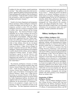overthrow by force and violence, ceased its pernicious activities." State sedition prosecutions had served to protect "against the agitation of persons having for their intent and purpose the overthrow of the Government of the United States." Finally the GID's work had: enabled the government to study the situation from a more intelligent and broader viewpoint."<sup>172</sup>

Parallel to the Justice Department and Immigration Bureau operations, military intelligence continued its wartime surveillance into the post-war era. After a temporary cut-back in early 1919, the Military Intelligence Division resumed investigations aimed at strikes, labor unrest, radicals, and the foreign language press. The American Protective League disbanded, but its former members still served as volunteer agents for military intelligence as well as for the Bureau of Investigation. While the military did not play a significant role in the "Palmer raids," troops were called upon in 1919 to control race riots in several cities and to maintain order during a steel strike in Gary, Indiana, where the city was placed under "modified martial law." Following the 1920 round-up of aliens, J. Edgar Hoover arranged for mutual cooperation between the GID and military intelligence. Reports from the Bureau of Investigation would be shared with the military, and investigations conducted at military request. In return, military intelligence agreed to provide Hoover with information from foreign sources, since the State Department had refused to do so and Hoover was prohibited from having agents or informants outside the United States.<sup>173</sup>

The domestic intelligence structure as finally established in 1920 remained essentially intact until Attorney General Harlan Fiske Stone took office in 1924. Under the Harding Administration and Attorney General Harry Daugherty, the GID was made a part of the Bureau of Investigation under Director William J. Burns, with J. Edgar Hoover becoming an Assistant Director of the Bureau. Although the deportation program was strictly limited by Labor Department policies, the Bureau still supplied results of its surveillance operations to state authorities for the prosecution of Communists.<sup>174</sup> Hoover also prepared a lengthy report for the Secretary of State on Communist activities in the United States. The State Department submitted the information to the Senate to back up its opposition to a resolution to grant diplomatic recognition to the Soviet Union.<sup>175</sup> During this period, the Bureau spelled out its domestic intelligence activities in annual reports to Congress, including summaries of investigation findings on the role of Communists in education, athletic clubs, publications, labor unions, women's groups, and Negro groups. Radical propaganda was "being spread in the churches, schools, and colleges throughout the country." The Bureau also told the Congress that it was furnishing information for prosecutions under state laws punishing "criminal syndicalism and anarchy."<sup>176</sup>

# **Military Intelligence Division**

### **Neglect of Military Intelligence 1919**

Prior to our declaration of war with Germany this essential general staff agency which is charged with gathering, collating, and disseminating the military information necessary as a basis for correct military decisions existed only in a rudimentary form. In April, 1917, it consisted of a section of the War College Division comprising a total personnel consisting of two officers and two clerks and supplied with only \$11,000 by congressional appropriation for the performance of duty vital to the interests of the Army and the Nation. Every other army of importance was provided with a far-reaching military intelligence service directed by a well-equipped general staff agency recognized as a par with agencies charged with military plans, operations, and supplies. As a result of our neglect of this service, the valuable information gathered by the officers whom we had attached to European armies during the first year and a half of the war was never properly used. We were also without accurate data as to the powerful and insidious espionage, propaganda, and sabotage methods with which Germany at once attempted to thwart our military effort.

### **Organization of Military Intelligence Division**

On July 1, 1918, the Military Intelligence Section, War College Division, General Staff, had been reorganized as the Military Intelligence Branch, Executive Division, General Staff, and consisted of 173 officers, 23 noncommissioned officers, and 589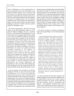clerks in Washington, as well as representatives in the more important cities of the United States, in all important foreign countries, and an extensive field force made up of specially chosen and instructed personnel in each military unit at home and overseas. This service had already rendered Gen. Pershing great assistance by supplying him with the required intelligence funds, with competent, loyal interpreters, agents, code and cipher experts, and other special intelligence personnel, with the material peculiarly adapted for intelligence needs.

The Staff reorganization, effected by General Orders, No 80, War Department, August 26, 1918, made the Military Intelligence Service a coordinate division of the General Staff and placed it on a par with similar services of general staffs of other nations of the world. The additional authority and prestige thus provided made it possible for this division to deal with other governmental agencies and with the intelligence services of our allies much more expeditiously and effectively than was possible under the previous imperfect organization. At the time of the armistice the Military Intelligence Division in Washington was made up of a highly specialized personnel consisting of 282 officers, 29 noncommissioned officers and 948 civilian employees, there field force had been greatly improved and enlarged, the assistance furnished the intelligence section of Gen. Pershing's staff was becoming daily more direct and more valuable, as was the staff was becoming daily more direct and more valuable, as was the cooperation with State Department, the Treasury Department, the Department of Justice, the Post Office Department, Naval Intelligence, the War Trade Board, the War Industries Board, and the National Research Council.

Since the signing of the armistices the Military Intelligence Division, in spite of the necessary rapid demobilization of its civilian and temporary commissioned personnel, had contributed much valuable information to the American commission to negotiate peace, for which over 20 officer-specialists were furnished, and with which was effectively linked the military attaché system and the intelligence service of the American Expeditionary Forces. Investigation of alleged cases of enemy activity and disloyalty within the civil population in the United States which

had been necessary during the period of actual hostilities terminated November 30, 1918, but the enormous financial interests of the United States involved in the cancellation of war contracts and the salvage of surplus stores has made necessary the continuance of a small bureau in this division for the investigation of alleged graft and fraud in connection with such matters. The gathering and effective use of military information is, however, held to be primary function of the Military Intelligence Division in time of peace; and it is upon this principle that the business of this division is now being conducted.

The duties assigned to Military Intelligence Division by General Orders, No. 80, War Department, 1918, are:

This division shall have the cognizance and control of military intelligence, both positive and negative, and shall be in charge of an officer designated as the Director of Military Intelligence, who will bean assistant to the Chief of Staff. He is also the chief military censor. The duties of this division are to maintain estimates revised daily of the military situation, the economic situation, and of such others matters as the Chief of Staff may direct, and to collect, collate, and disseminate military intelligence. It will cooperate wit the intelligence section of the general staffs of allied countries in connection with military intelligence; prepare instructions in military intelligence work for the use of our forces: supervise the training of personnel for intelligence work: organize, direct, and coordinate the intelligence service: supervise the duties of military attaches: communicate direct with department intelligence officers and intelligence officers at posts, camps, and stations, and, and with commands in the field in matters relating to military intelligence: obtain, reproduce, and issue maps: translate foreign documents: disburse: and account for intelligence funds: cooperate with the censorship board and with intelligence agencies of other departments of Government.

In order to perform the duties thus assigned it the Military Intelligence Division has been organized into an Administrative Section and 12 other sections. grouped according to the nature of their functions into three branches, Positive, Geographic, and Negative. The magnitude, importance, and variety of the work of this division can best be shown by a summary of the activities of its various sub-divisions.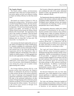#### **The Negative Branch**

This branch collects, collates, and disseminates information upon which may be based measures of prevention against activities and influences tending to impair our military efficiency by other than armed force.

This branch was created on August 18, 1918, by uniting four existing sections. The sections so united were the Foreign Influence Section, the Army Section, the News Section, and the military morale Section. In September, 1918, the Travel Section and the Fraud Section were added. On October 19, 1918, the Military Morale Section became the Military Morale Branch of the General Staff. The organization at the time of the cessation of hostilities, when the branch had reached its highest point of development, consisted of five sections, as follows: Foreign Influence (M.I. 4); Army (M.I. 3); News (M.I. 10); Travel (M.I. 11); Fraud (M.I. 13).

At its maximum the branch employed the services of 202 officers, 60 enlisted men (Corps of Intelli-gence), 65 volunteers (candidates for commissions), and 605 clerks. It directed the activities of thousands of officers and enlisted men in the field and through this organization did the War Department's share in completely foiling the well-laid plans of the enemy to impede our military program. In which aggregate more than the entire appropriation for Military Intelligence.

A consideration of the functions of the several subdivisions of the branch gives a comprehensive view of its activities, which included the handling of cases during the current year in number closely approximating half a million.

The Foreign Influence Section (M.I.4), is the present section from which grew the Negative Branch. As delimited by the diversion of specialties to other sections, the duty of this section in general is the study of espionage and propaganda directed against the United States or against its allies, and also the study of the sentiments, publications, ad other actions of foreign language and revolutionary groups both here an abroad, in so far as these matters have a bearing upon the military situation. The activities of a the section were carried on through seven subsections, as follows:

The Executive Subsection apportioned, supervised and coordinated the work of the section, determined questions of policy and represented the section in its relations , important officials.

The Departmental subsection studied the intelligence situation in the territories embraced within the several geographical military departments of United States. It investigated enemy espionage activities and channels of communication, the financing of enemy activities and particular cases of enemy influence.

The Propaganda subsection studied and collated information on dissemination by the enemy of doctrines and false rumors aimed to create confusion of thought and so impair our military efficiency. It also studied and suggested methods for meeting and overcoming this imponderable mode to attack.

The Foreign Subsection studied the intelligence situation abroad and, in cooperation with the corresponding agencies of allied powers, determined the nature and extent of enemy secret activity and formulated methods for overcoming its effect.

The Legal and Liaison Subsection maintained liaison with the various Government agencies in Washington through officers familiar with the various departments. Specific recommendations of measures for fire prevention. It organized watch and guard systems for plants engaged in Government work and provided watchmen where necessary. It also devised plans and furnished agents for detecting and preventing sabotage or other malicious interference with the production. In addition, it systematically studied legislation, enacted or pending, proclamations, executive orders, and legal decisions affecting the Intelligence Service.

The Research Subsection took over from other subsections, cases which appeared to have reached unusual significance or importance, summarized all material information available a prepared such cases for final disposition.

The Labor and Sabotage Subsection handled all matters relating to the prevention or delay of deliveries of war materials by immobilization of resources, control of factories, or raw materials, subversion or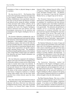intimidation of labor or physical damage to plants or products.

*The Army Section (M.I.3)* — The Functions of this section is the organization, instruction and supervision of the Negative Intelligence Service within the Military Establishment: more specifically it protects the Army by the prevention and detection of enemy and disloyal activity among the military, including civilian personnel under military authority and in volunteer auxiliary associations. It supervises and coordinates the work of the Negative Intelligence officers stationed with each military unit and promulgates instructions for the operation and maintenance of the Negative Intelligence Service in the field.

The Executive Subsection coordinated the work of the section, assigned personnel and issued the bulletins and instructions which determined policy for the field organization. It also handled a variety of special and miscellaneous matters which did not fall within the province of another subsection. Among such specialties were the observation of conscientious objectors and of foreign church organizations and pacifist religious bodies operating among troops. The intelligence problems arising through there presence in the American Army of large bodies of Negro troops were studied in this subsection and much valuable information was secured and digested.

The Line Subsection cooperated with intelligence officers in line units in the field in investigating cases of disloyalty, sedition or enemy activity, either among troops or at points where troops were stationed. It also investigated and reported upon the antecedents and personal character for loyalty and integrity of candidates for commissions in the line of the Army. The duties of this section included not only the observations of dangerous tendencies or incidents arising within military units, but also those which operated from without directly upon the Army personnel.

Three other subsections performed for the technical and administrative corps and departments duties identical with those which the Line Subsection handled for the line of Army. This work was grouped as follows: (a) General Staff, Judge Advocate General's Office, Adjutant General's Office, Corps of Engineers, Ordnance Department, Quartermaster Corps, and Motor Transport Corps. (b) Medical, Dental, and Veterinary Corps and the Chemical Warfare Service. (c) Signal Corps ad Air Service.

The Personnel Subsection served all other subsections by conducting preliminary investigations of candidates for commissions and other persons under investigation, and so from further consideration all whose character for loyalty and integrity proved to be questionable. This subsection also performed a valuable service in detecting applicants for commissions in technical branches who had previously been rejected or discharged for cause from other branches of the service. One result of the investigations of this group was to prove the utter unreliability of letters of recommendation in estimating the fitness of individuals. Approximately 15,000 cases were handled during the emergency.

The Statistical Subsection, by means of maps and indexes, kept records of all military units in the United States and of the Intelligence organization of each; of the various cooperating agencies and of the status of the field service in general. It had custody of all literature issued by the section and attended to the mailing of circulars, bulletins, and instructions. It coordinated the administrative work of the field and the office. This subsection maintained liaison with statistical offices of other branches of the War Department.

The Instruction Subsection, studied the development of the Negative Intelligence system, evolved general principles and specific policies of general application and promulgated the result for the improvement of the service. It developed a wellconsidered plan for the personal instruction of Negative Intelligence officers, and prior to the signing of the armistice conducted schools for two groups of officers brought in from the field instruction.

The Plant Protection Bureau.-This was a civilian organization which originated in the Air Service as a measure of protection for the airplane production program. It was taken over by Military Intelligence and its scope enlarged to include the protection of Government plants and construction projects as well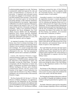as all private plants engaged in war work. This bureau systematically studied and inspected fire risks and made recommendations of measures for fire prevention. It organized watch and guard systems for plants for engaged in Government work and provided watchmen where necessary. It also devised plans and furnished agents for detecting and preventing sabotage or other malicious interference with the production of war material. Approximately 5,000 plants were under the inspection of this bureau, which employed and operative force of 373 and supervised the activities of thousands of guards and watchmen. Offices were maintained at Boston, Springfield, New Haven, Bridgeport, New York, Albany, Syracuse, Buffalo, New ark, Philadelphia, Baltimore, Nitro, Atlanta, Nashville, Pittsburgh, Cleveland, Dayton, Indianapolis, Detroit, Chicago, Milwaukee, Minneapolis, Davenport, St. Louis, Fort Worth, San Francisco, and Los Angeles.

An important by-product of the activities of this bureau arose from its intimate knowledge of the operation of plants working on Government contracts whereby it was in a position to frustrate false claims and overcharges. No account was kept from which an accurate statement can be made of the total savings effectuated in this way. One item amounted to \$600,000. and the total is estimated as \$2,000,000.

Liaison with American Protective League: American Protective League was a volunteer civilian organization of 3000,000 members, operating under the supervision of the Department of Justice, and thoroughly covering the United States. By special arrangement with the Department of Justice this agency of information was placed at the disposal of Military Intelligence Division, and to facilitate communication directly with the various local branches of the league a Liaison Subsection was created under the direction of an officer of Military Intelligence, who was also an officer of the American Protective League.

The News Section  $(M.I.10)$ –On June 11, 1918, the Director of Military Intelligence was appointed to represent the War Department on the Censorship Board and the work incidental to this additional duty was at first handled in several sections of the Negative Branch. On August 16, 1917, the Director of Military

Intelligence assumed the duty of Chief Military Censor and this section, which was originally called the Censorship Section, was created to handle increased volume of work entailed.

Censorship-In practice it was found that much of the organization necessary to examine publications and communications for censoring served equally well for collecting and digesting current news in a manner which proved to be of great value to the War Department. As time progressed these informational functions became more and more important and when, with the close of hostilities, the censorship became unnecessary, this feature of the section, now called the News Section, was continued. At its maximum the section had 15 subsection, as follows:

The Executive Subsection coordinated and supervised the work of the section, handled necessary administrative details, together with miscellaneous matters which did not fall within the province of any other subsection, and maintained liaison with the boards of experts in other departments.

The Legal Subsection advised on the legal aspects of the censorship and recorded the precedents established upon rulings obtained from the staff of technical experts organized in the various bureaus of the War Department to cooperate with the Chief Military Censor.

The Postal Subsection maintained liaison with the Post Office Department and handled those matters which arose through the duties of the Chief Military Censor as War Department member of the Postal Censor ship Board.

The Prisoner of War Subsection censored all mail to or from prisoners of war held by the United States in the several war prison camps and coordinated the work in this country with that done abroad.

The Telegraph and Telephone Subsection conducted the censorship of telegraph and telephone messages to Mexico during the period that the regulation were in force.

The Radio Subsection supervised the interception of radio messages originating in Mexico and through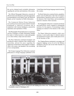this service obtained much invaluable information regarding the activities and intentions of the enemy.

The Official Photograph Subsection censored all official motion and still pictures and made appropriate recommendations to the Signal Corps, the Historical Branch, an the Committee on Public Information.

The Commercial Motion Picture Subsection surveyed the private motion picture field for harmful propaganda or indiscreet revelations and in conjunction with Customs Intelligence censored the importation and exportation of films.

The Photographic Permit Subsection in cooperation with the Committee on Public Information handled the matter of official permits to make photographs on or about military camps and reservations.

The Press Subsection examined newspapers and periodicals to detect violations of the voluntary press censorship, advised the press regarding the suppression of information which might be of military value to the enemy, and attended to the accrediting of war correspondents.

The Foreign Language Press Subsection examined publications in foreign languages published in the

United States land foreign language material entering this country.

The Book Subsection examined books, pamphlets, posters and all publications other than newspapers and periodicals, reported on such as were contrary to the interests of the United States, and recommended repressive measures where necessary.

The Propaganda Subsection examined periodicals and publications clearly engaged in propaganda activities for the purpose of ascertaining if their teachings are inimical to the interests of the United States.

The Digest Subsection prepared a daily news summary, a semi-weekly digest of editorial opinion for transmission to France, and a weekly press review for the Secretary of War.

The Clipping Bureau maintained a newspaper and magazine clippings service for all of the Military Intelligence Division and several other branches of the General Staff.



The Signal Intelligence Service was housed in this building from 1929 to 1942. The building was located on Constitution Avenue in Washington, D.C.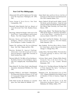# **Post Civil War Bibliography**

- Allensworth, W.H. and W.G. Spottswood. The Cipher of the War Department. Washington, DC: GPO, 1902.
- Aston, George G. Secret Service. New York: Cosmopolitan, 1930.
- Bernstorff, Johan Heinrich, Graf von. Memoirs of Count Bernstorff. New York: Random House, 1936.
- Brownrigg, Admiral Sir Douglas. Indiscretion of the Naval Censor: Counterintelligence and Economic Warfare. New York: George H. Doran, 1920.
- Bywater, Hector, and Ferraby, H.C. Strange Intelligence: Memoirs of Naval Secret Service: Naval Intelligence. London: Constable, 1931.
- Deakin, F.W., and Storry, G.R. The Case Of Richard Sorge. New York: Harper and Row, 1966.
- Doerries, Reinhard R. Imperial Challenge: Ambassador Count Bernstorff and German-American Relations. Chapel Hill: University of North Carolina Press, 1989.
- Dorwart, Jeffrey M. The Office of Naval Intelligence: The Birth of America's First Intelligence Agency, 1865-1918. Annapolis, Md.: Naval Institute Press, 1979.
- Dunn, Robert W. The Palmer Raids. Labor Research Association, International Publishers, New York, 1948.
- Friedman, William F., and Charles J. Mendelsohn, The Zimmerman Telegram of January 16, 1917 and its Cryptographic Background. Laguna Hills, CA: Aegean Park Press, 1976.
- Goltz, Horst von der. My Adventures as a German Agent. New York: Robert M. McBride. 1917
- Grant, Hamil. Spies and Secret Service: the Story of Espionage, Its Main Systems and Chief Exponents. New York: Frederick Stokes, 1915.
- Harris, Charles H. III and Louis R. Sadler, Louis R. The Border and the Revolution. Center for Latin American Studies/Joint Border Research Institute. New Mexico State University, Las Cruces, New Mexico. 1988
- Jeffreys-Jones, Rhodri. "The Montreal Spy Ring of 1898 and the Origins of 'Domestic Surveillance' in the United States." Canadian Review of American Studies 5 (Fall 1974): 119-134.
- Jones, John P. and Paul M. Hollister. The German Secret Service in America, 1914-1918. Boston, Small, Maynard, 1918.
- Katz, Friedrich. The Secret War in Mexico: Europe, the United States, and the Mexican Revolution. Chicago: U. Chicago Press, 1981.
- Landau, Henry. The Enemy Within: The Inside Story of German Sabotage in America. New York: Putnam's, 1937.
- LeCaron, Henri, pseud. (Thomas Miller Beach). Twenty-five Years in the Secret Service: The Recollections of a Spy. London: William Heinemann, 1892.
- O'Toole, G.J.A. "Our Man in Havana: The Paper Trail of Some Spanish War Spies," Intelligence Quarterly, 2:2 (1986): 1-3.
- Pannunzio, C.M. The Deportation Cases of 1919-1920. A Report Published for the Federal Council of Churches of Christ of America, Chapter III, 1920.
- Powe, Marc B. The Emergence of the War Department Intelligence Agency: 1885-1918. Manhattan, KS: Military Affairs, 1975.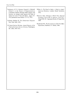- Testimony of U.S. Attorney General A. Mitchell Palmer's to the House of Representatives Committee on Rules, Hearings, 66th Congress, 2nd Session, on charges made against the Dept of Justice by Louis F. Post and others. pages 157-158, Quotations from Palmer 171-173, 1919.
- Tuchman, Barbara W. The Zimmerman Telegram. New York: Dell, 1958.
- US Secret Service Division, Annual Reports of the Chief of the Secret Service Division, Washington, DC: GPO, 1907-1911.
- Willert, A. The Road to Safety: A Study in Anglo-American Relations. London: Derek Verchoyle, 1952.
- Witcover, Jules. Sabotage at Black Tom: Imperial Germany's Secret War in America, 1914-1917. Chapel Hill, NC: Algonquin Books of Chapel Hill, 1989.
- Woodward, P.H., The Secret Service of the Post Office Department, Hartford, CT: Winter, 1886.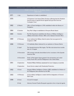# 1871 POST CIVIL WAR TO WORLD WAR I, 1866-1919 1 July Department of Justice is established. U.S. Supreme Court issues Totten Decision, affirming that the President has the power to appoint "Secret Agents" and pay them from the Contingent Fund. 23 March Office of Naval Intelligence (ONI) established within the Bureau of Navigation. 6 October Navy War College is established at Newport, Rhode Island. October The War Department establishes the Bureau of Military Intelligence (Military Information Division -MID) at the Adjutant Generals Office. 27 February Army institutes the Military Attaché system that was approved by Congress in 1888. 15 February U.S. battleship *Maine* destroyed by an explosion in Havana Harbor. 21 April The Spanish-American War begins. The War ends almost four months later on 13 August. 10 December ONI overseas networks demobilized at the conclusion of the Spanish American War. 10 December Treaty of Paris signed. Spain granted Cuba its freedom and ceded Guam, Puerto Rico, and the Philippines to the United States. 6 September President William McKinley assassinated by Leon Czolgosz, an anarchist. 6 September Secret Service tasked with Presidential Protection. 18 June Separate Military Intelligence Division (MID) established in Division of the Philippines, later absorbed by the MID. 14 February G-2 for military intelligence created with the designation of General Staff Corps. 24 June G-2 and G-3 merged. 26 July Attorney General Charles Bonaparte appoints a force of special agents. 1876 1882 1884 1885 1889 1898 1901 1902 1903 1908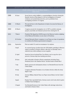# POST CIVIL WAR TO WORLD WAR I,

| 1908 | 30 June    | Secret Service, which fulfilled a counterintelligence function during the<br>Spanish American War, stripped of all but investigations of treasury<br>violations and presidential protection, and is prohibited from<br>investigating members of Congress. |
|------|------------|-----------------------------------------------------------------------------------------------------------------------------------------------------------------------------------------------------------------------------------------------------------|
| 1909 | 16 March   | The special force in the Department of Justice becomes the Bureau of<br>Investigation.                                                                                                                                                                    |
| 1910 | 26 March   | Congress amends the Immigration Act of 1907 to prohibit criminals,<br>paupers, anarchists and diseased persons from entering the US.                                                                                                                      |
| 1911 | 7 March    | President Taft dispatches 20,000 troops to the Mexican border as fighting<br>in the Mexican Revolution occurs close to US territory.                                                                                                                      |
|      | 26 October | General Bernardo Reyes' conspiracy to use Texas as a base of operations<br>to overthrow the Mexican government is stopped.                                                                                                                                |
| 1914 | September  | First successful U.S. aerial reconnaissance by airplane.                                                                                                                                                                                                  |
|      | 9 April    | An unarmed group of sailors from the USS Dolphin, patrolling in Mexican<br>waters, is arrested in Tampico, Mexico after they accidentally enter a<br>restricted area while seeking to secure supplies.                                                    |
|      | 21 April   | American forces bombard Vera Cruz, Mexico and occupy the city to<br>prevent a German ship from landing arms there.                                                                                                                                        |
|      | 28 June    | Serb nationalist at Sarajevo, Bosnia, assassinates Archduke Franz<br>Ferdinand, heir to the Austrian throne. Incident leads to World War I.                                                                                                               |
|      | 7 July     | Berlin summons its Ambassador, Johann von Bernstorff, home from the<br>United States.                                                                                                                                                                     |
|      | 18 July    | Congress authorizes Formation of an Aviation Section within the Army<br>Signal Corps.                                                                                                                                                                     |
|      | 30 July    | German Military Attaché Franz van Papen leaves Mexico for the United<br>States.                                                                                                                                                                           |
|      | August     | Russian Navy reportedly finds a German naval code book, which is given<br>to British Naval Intelligence.                                                                                                                                                  |
|      | 2 August   | Von Bernstorff returns to the United States with sabotage instructions<br>and funds to finance them.                                                                                                                                                      |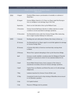| 1914 | 4 August    | President Wilson issues a proclamation of neutrality on outbreak of<br>World War I.                                                                          |
|------|-------------|--------------------------------------------------------------------------------------------------------------------------------------------------------------|
|      | 22 August   | German Military Attaché to U.S., Franz von Papen, tasks Paul Koenig to<br>form an intelligence and sabotage ring in New York.                                |
|      | September   | Horst von der Goltz fails to blow up the Welland Canal.                                                                                                      |
|      | 2 November  | German General Staff issues directive to military attaches in neutral<br>countries to recruit anarchists for sabotage operations.                            |
|      | 15 December | Von Bernstorff receives cable from German Foreign Office instructing<br>him to target Canadian Railways for destruction.                                     |
| 1915 | 1 January   | Roebling wire and cable plant in Trenton, New Jersey is blown up.                                                                                            |
|      | 26 January  | Von Bernstorff and von Papen urged to recruit Irish agitators for sabotage<br>by German Foreign Office.                                                      |
|      | 28 January  | A German ship sinks an American merchant ship carrying wheat<br>to Britain.                                                                                  |
|      | 2 February  | Werner Horn captured attempting to blow up the Vanceboro Bridge.                                                                                             |
|      | April       | Germans covertly establish a munitions plant, the Bridgeport Projectile<br>Company, in Connecticut to divert U.S. war materials destined for its<br>enemies. |
|      | 2 April     | Doctor Walter Scheele forms a front company in New Jersey to<br>manufacture incendiary devices for German sabotage operations.                               |
|      | 3 April     | Captain Franz von Rintelen and Robert Fay arrive in U.S. with sabotage<br>assignments.                                                                       |
|      | 7 May       | Lusitania torpedoed by German U-boat off Irish coast.                                                                                                        |
|      | 15 May      | Unexploded bombs found in ship docking at Marseilles; devices traced<br>to von Rinetelen operation.                                                          |
|      | 2 July      | U.S. Capital bombed.                                                                                                                                         |
|      | 3 July      | Financier J.P. Morgan shot by protester.                                                                                                                     |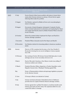| 1915 | 15 July     | Doctor Heinrich Albert leaves portfolio with plans to foment labor<br>unrest, other German schemes on subway. A Secret Service agent,<br>following Albert, takes the portfolio.                                                |
|------|-------------|--------------------------------------------------------------------------------------------------------------------------------------------------------------------------------------------------------------------------------|
|      | 13 August   | Von Rintelen captured by British at Dover as he was attempting to<br>return to Germany.                                                                                                                                        |
|      | 30 August   | Documents of Austro-Hungarian Ambassador Constantin Dumba,<br>which included instructions for subversion and implicating Von Papen<br>and Captain Karl Boy-Ed, seized by British; President Wilson demands<br>recall of Dumba. |
|      | 24 October  | Robert Fay arrested, further implicates Von Papen and Boy-Ed in<br>German sabotage operations.                                                                                                                                 |
|      | 1 December  | President Wilson demands recall of Von Papen and Boy-Ed.                                                                                                                                                                       |
|      | 28 December | Von Rintelen indicted for fomenting strikes in American munitions<br>plants.                                                                                                                                                   |
| 1916 | January     | Director of ONI complains that Secretary of the Navy Franklin D.<br>Roosevelt is forming his own secret intelligence bureau separate<br>from ONI.                                                                              |
|      | 16 February | Key meeting at Section 3B, German General Staff takes place to plan<br>sabotage and use of new incendiary devices in U.S.                                                                                                      |
|      | 9 March     | Pancho Villa raids Columbus, a New Mexico border town, killing 17<br>American soldiers and civilians.                                                                                                                          |
|      | 15 March    | President Woodrow Wilson dispatches a Punitive Expedition under<br>Brigadier General John J. "Blackjack" Pershing against Villa.                                                                                               |
|      | May         | House of Representatives defeats anti-espionage legislation proposed<br>by the Attorney General.                                                                                                                               |
|      | 21 June     | US troops in Mexico are attacked at Carrizal.                                                                                                                                                                                  |
|      | 9 July      | German merchant submarine Deutschland arrives in Baltimore;<br>provides front for Captain Frederick Hinsch's sabotage activities.                                                                                              |
|      | 30 July     | German agents blow up Black Tom Island, a munitions transfer point<br>between New York and New Jersey. The explosions killed two and<br>caused \$20 million in damage.                                                         |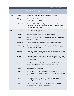# POST CIVIL WAR TO WORLD WAR I,

| 1916 | 10 August   | Hilken pays \$2,000 to Hinsch for the Black Tom sabotage.                                                                                                             |
|------|-------------|-----------------------------------------------------------------------------------------------------------------------------------------------------------------------|
|      | 29 August   | Council of National Defense is formed to coordinate war preparedness<br>efforts in American industry.                                                                 |
|      | 4 November  | Secretary of State Robert Lansing creates the Bureau of Secret<br>Intelligence, funded with confidential funds, much of which comes<br>from American businessmen.     |
| 1917 | 11 January  | Fire destroys the Kingsland Plant.                                                                                                                                    |
|      | 1 February  | Germany launches unrestricted submarine warfare.                                                                                                                      |
|      | 3 February  | President Wilson breaks off diplomatic relations with Germany; sends<br>Von Bernstorff home.                                                                          |
|      | 5 February  | General Pershing's Punitive Expedition withdraws from Mexico.                                                                                                         |
|      | 24 February | The British give The Zimmerman Telegram to Walter Hines Pages, the<br>U.S. Ambassador to Great Britain.                                                               |
|      | 22 March    | American Protective League established to support the government in<br>its domestic investigations of "radicals."                                                     |
|      | 31 March    | Attorney General, Thomas W. Gregory, without congressional authority,<br>authorizes Bureau of Investigations to investigate German espionage in<br>the United States. |
|      | 3 April     | Most German saboteurs leave U.S. because, under declaration of war,<br>anyone committing sabotage can be sentenced to death.                                          |
|      | 6 April     | U.S. declares war on Germany.                                                                                                                                         |
|      | 13 April    | Fred Herrman, German saboteur, writes Paul Hilken, German sabotage<br>paymaster, invisible message requesting funds to blow up Tampico oil<br>fields.                 |
|      | 14 April    | First wartime Executive Order dealing with the broad subject of<br>censorship issued by President Wilson.                                                             |
|      | 28 April    | Secretary of War given wartime censorship control over telegraph and<br>telephones leading out of the United States.                                                  |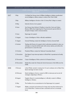| 1917 | 3 May       | Col. Ralph Van Deman, head of Military Intelligence, initiates unauthorized<br>secret intelligence efforts, contrary to orders of the Chief of Staff.                           |
|------|-------------|---------------------------------------------------------------------------------------------------------------------------------------------------------------------------------|
|      | 3 May       | Military Intelligence Section of the U.S. Army War College is created.                                                                                                          |
|      | 18 May      | Selective Service Act is passed.                                                                                                                                                |
|      | 10 June     | Van Deman hires Herbert O. Yardley to head the Code and Cipher<br>Bureau (MI-8), thus beginning the US government's special effort to<br>decipher foreign coded communications. |
|      | 15 June     | Espionage Act passed.                                                                                                                                                           |
|      | 13 August   | Corps of Intelligence Police officially established.                                                                                                                            |
|      | 31 August   | General Pershing creates the Intelligence Section, General Staff.                                                                                                               |
|      | 6 October   | Trading with Enemy Act passed which authorizes president to place an<br>embargo on imports, forbids trade with enemy nations, and allows the<br>government to censor the mail.  |
|      | 12 October  | President Wilson creates the National Censorship Board.                                                                                                                         |
|      | 12 November | First Signal Corps intercept station in World War I operational at Souilly,<br>France.                                                                                          |
|      | 25 November | Corps of Intelligence Police arrived in St. Nazaire, France.                                                                                                                    |
|      | 20 December | Bolsheviks create the Cheka, the Soviet forerunner of the KGB, now the<br>SVRR.                                                                                                 |
| 1918 | 1 February  | Lothar Witzke arrested crossing into U.S. and confesses role in Black Tom<br>Island sabotage but later recants.                                                                 |
|      | 22 February | Radio Intelligence Service created in MID to intercept and record all<br>messages originating in Mexico,                                                                        |
|      | 28 August   | Negative Branch (counterintelligence) officially created in Military<br>Intelligence Division.                                                                                  |
|      | 16 May      | The Sedition Act, an amendment to the Espionage Act, is passed.                                                                                                                 |
|      | 17 August   | Witzke convicted and sentenced to hang; only man thus sentenced in<br>U.S. in World War I. Sentenced later commuted and he is eventually<br>freed.                              |